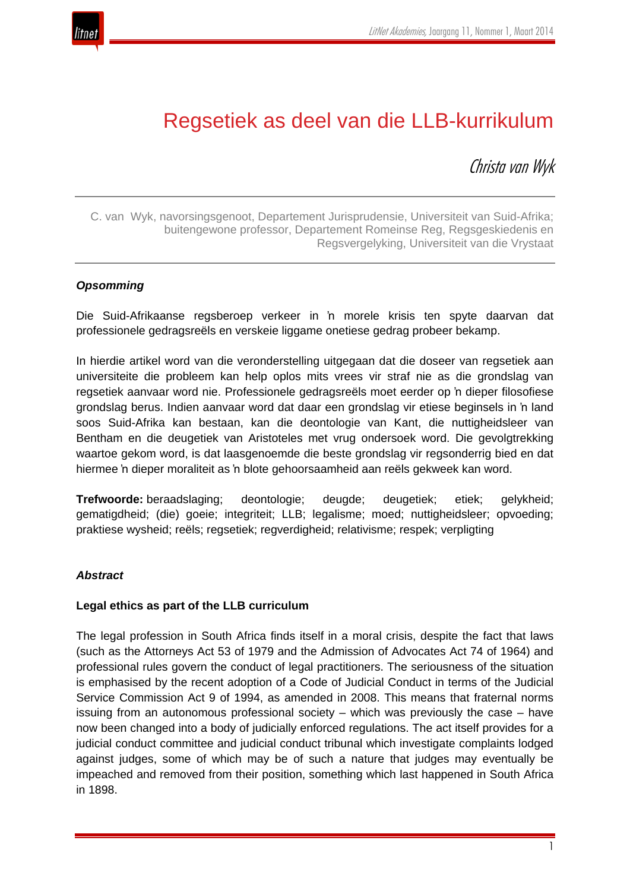

# Regsetiek as deel van die LLB-kurrikulum

Christa van Wyk

C. van Wyk, navorsingsgenoot, Departement Jurisprudensie, Universiteit van Suid-Afrika; buitengewone professor, Departement Romeinse Reg, Regsgeskiedenis en Regsvergelyking, Universiteit van die Vrystaat

#### *Opsomming*

Die Suid-Afrikaanse regsberoep verkeer in 'n morele krisis ten spyte daarvan dat professionele gedragsreëls en verskeie liggame onetiese gedrag probeer bekamp.

In hierdie artikel word van die veronderstelling uitgegaan dat die doseer van regsetiek aan universiteite die probleem kan help oplos mits vrees vir straf nie as die grondslag van regsetiek aanvaar word nie. Professionele gedragsreëls moet eerder op 'n dieper filosofiese grondslag berus. Indien aanvaar word dat daar een grondslag vir etiese beginsels in 'n land soos Suid-Afrika kan bestaan, kan die deontologie van Kant, die nuttigheidsleer van Bentham en die deugetiek van Aristoteles met vrug ondersoek word. Die gevolgtrekking waartoe gekom word, is dat laasgenoemde die beste grondslag vir regsonderrig bied en dat hiermee 'n dieper moraliteit as 'n blote gehoorsaamheid aan reëls gekweek kan word.

**Trefwoorde:** beraadslaging; deontologie; deugde; deugetiek; etiek; gelykheid; gematigdheid; (die) goeie; integriteit; LLB; legalisme; moed; nuttigheidsleer; opvoeding; praktiese wysheid; reëls; regsetiek; regverdigheid; relativisme; respek; verpligting

#### *Abstract*

#### **Legal ethics as part of the LLB curriculum**

The legal profession in South Africa finds itself in a moral crisis, despite the fact that laws (such as the Attorneys Act 53 of 1979 and the Admission of Advocates Act 74 of 1964) and professional rules govern the conduct of legal practitioners. The seriousness of the situation is emphasised by the recent adoption of a Code of Judicial Conduct in terms of the Judicial Service Commission Act 9 of 1994, as amended in 2008. This means that fraternal norms issuing from an autonomous professional society – which was previously the case – have now been changed into a body of judicially enforced regulations. The act itself provides for a judicial conduct committee and judicial conduct tribunal which investigate complaints lodged against judges, some of which may be of such a nature that judges may eventually be impeached and removed from their position, something which last happened in South Africa in 1898.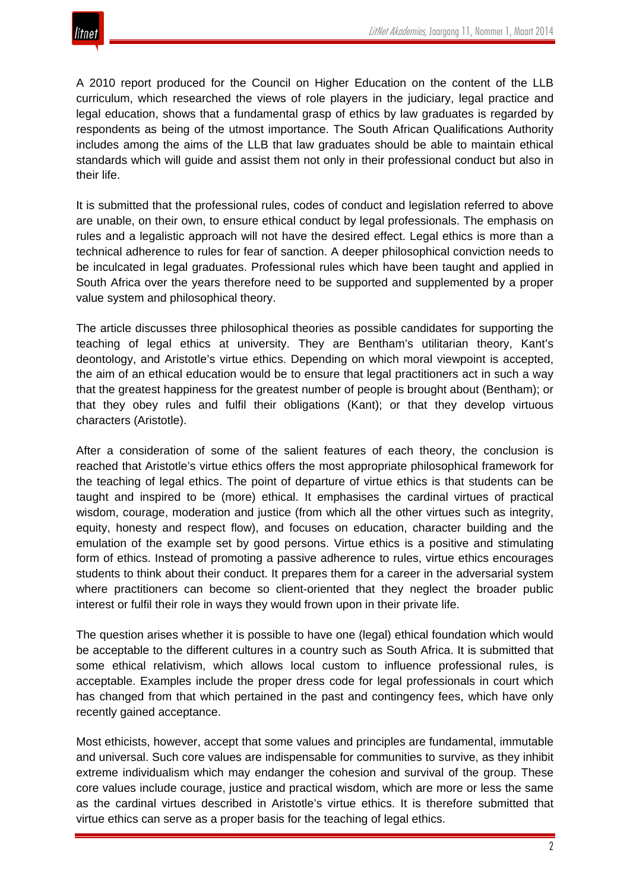A 2010 report produced for the Council on Higher Education on the content of the LLB curriculum, which researched the views of role players in the judiciary, legal practice and legal education, shows that a fundamental grasp of ethics by law graduates is regarded by respondents as being of the utmost importance. The South African Qualifications Authority includes among the aims of the LLB that law graduates should be able to maintain ethical standards which will guide and assist them not only in their professional conduct but also in their life.

It is submitted that the professional rules, codes of conduct and legislation referred to above are unable, on their own, to ensure ethical conduct by legal professionals. The emphasis on rules and a legalistic approach will not have the desired effect. Legal ethics is more than a technical adherence to rules for fear of sanction. A deeper philosophical conviction needs to be inculcated in legal graduates. Professional rules which have been taught and applied in South Africa over the years therefore need to be supported and supplemented by a proper value system and philosophical theory.

The article discusses three philosophical theories as possible candidates for supporting the teaching of legal ethics at university. They are Bentham's utilitarian theory, Kant's deontology, and Aristotle's virtue ethics. Depending on which moral viewpoint is accepted, the aim of an ethical education would be to ensure that legal practitioners act in such a way that the greatest happiness for the greatest number of people is brought about (Bentham); or that they obey rules and fulfil their obligations (Kant); or that they develop virtuous characters (Aristotle).

After a consideration of some of the salient features of each theory, the conclusion is reached that Aristotle's virtue ethics offers the most appropriate philosophical framework for the teaching of legal ethics. The point of departure of virtue ethics is that students can be taught and inspired to be (more) ethical. It emphasises the cardinal virtues of practical wisdom, courage, moderation and justice (from which all the other virtues such as integrity, equity, honesty and respect flow), and focuses on education, character building and the emulation of the example set by good persons. Virtue ethics is a positive and stimulating form of ethics. Instead of promoting a passive adherence to rules, virtue ethics encourages students to think about their conduct. It prepares them for a career in the adversarial system where practitioners can become so client-oriented that they neglect the broader public interest or fulfil their role in ways they would frown upon in their private life.

The question arises whether it is possible to have one (legal) ethical foundation which would be acceptable to the different cultures in a country such as South Africa. It is submitted that some ethical relativism, which allows local custom to influence professional rules, is acceptable. Examples include the proper dress code for legal professionals in court which has changed from that which pertained in the past and contingency fees, which have only recently gained acceptance.

Most ethicists, however, accept that some values and principles are fundamental, immutable and universal. Such core values are indispensable for communities to survive, as they inhibit extreme individualism which may endanger the cohesion and survival of the group. These core values include courage, justice and practical wisdom, which are more or less the same as the cardinal virtues described in Aristotle's virtue ethics. It is therefore submitted that virtue ethics can serve as a proper basis for the teaching of legal ethics.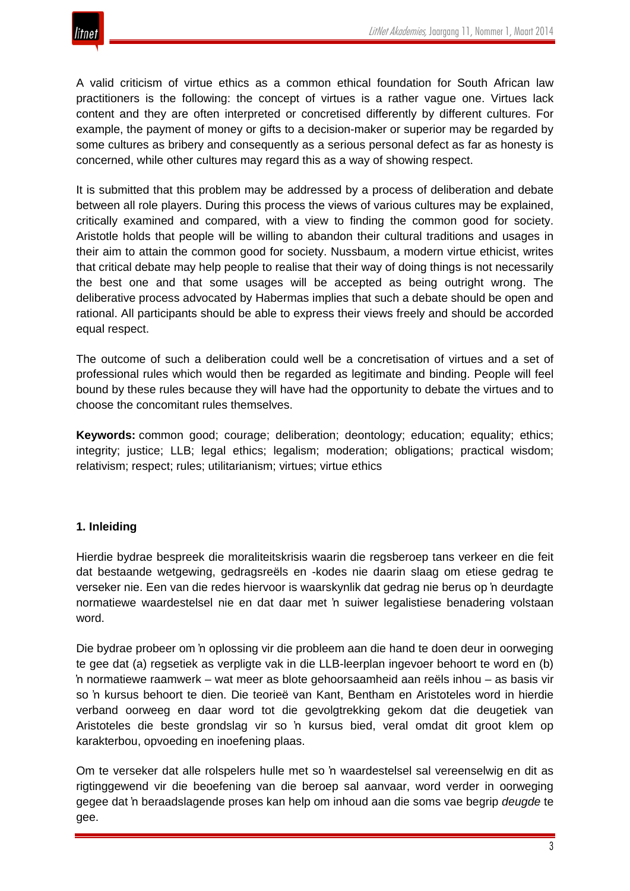

A valid criticism of virtue ethics as a common ethical foundation for South African law practitioners is the following: the concept of virtues is a rather vague one. Virtues lack content and they are often interpreted or concretised differently by different cultures. For example, the payment of money or gifts to a decision-maker or superior may be regarded by some cultures as bribery and consequently as a serious personal defect as far as honesty is concerned, while other cultures may regard this as a way of showing respect.

It is submitted that this problem may be addressed by a process of deliberation and debate between all role players. During this process the views of various cultures may be explained, critically examined and compared, with a view to finding the common good for society. Aristotle holds that people will be willing to abandon their cultural traditions and usages in their aim to attain the common good for society. Nussbaum, a modern virtue ethicist, writes that critical debate may help people to realise that their way of doing things is not necessarily the best one and that some usages will be accepted as being outright wrong. The deliberative process advocated by Habermas implies that such a debate should be open and rational. All participants should be able to express their views freely and should be accorded equal respect.

The outcome of such a deliberation could well be a concretisation of virtues and a set of professional rules which would then be regarded as legitimate and binding. People will feel bound by these rules because they will have had the opportunity to debate the virtues and to choose the concomitant rules themselves.

**Keywords:** common good; courage; deliberation; deontology; education; equality; ethics; integrity; justice; LLB; legal ethics; legalism; moderation; obligations; practical wisdom; relativism; respect; rules; utilitarianism; virtues; virtue ethics

#### **1. Inleiding**

Hierdie bydrae bespreek die moraliteitskrisis waarin die regsberoep tans verkeer en die feit dat bestaande wetgewing, gedragsreëls en -kodes nie daarin slaag om etiese gedrag te verseker nie. Een van die redes hiervoor is waarskynlik dat gedrag nie berus op 'n deurdagte normatiewe waardestelsel nie en dat daar met 'n suiwer legalistiese benadering volstaan word.

Die bydrae probeer om 'n oplossing vir die probleem aan die hand te doen deur in oorweging te gee dat (a) regsetiek as verpligte vak in die LLB-leerplan ingevoer behoort te word en (b) 'n normatiewe raamwerk – wat meer as blote gehoorsaamheid aan reëls inhou – as basis vir so 'n kursus behoort te dien. Die teorieë van Kant, Bentham en Aristoteles word in hierdie verband oorweeg en daar word tot die gevolgtrekking gekom dat die deugetiek van Aristoteles die beste grondslag vir so 'n kursus bied, veral omdat dit groot klem op karakterbou, opvoeding en inoefening plaas.

Om te verseker dat alle rolspelers hulle met so 'n waardestelsel sal vereenselwig en dit as rigtinggewend vir die beoefening van die beroep sal aanvaar, word verder in oorweging gegee dat 'n beraadslagende proses kan help om inhoud aan die soms vae begrip *deugde* te gee.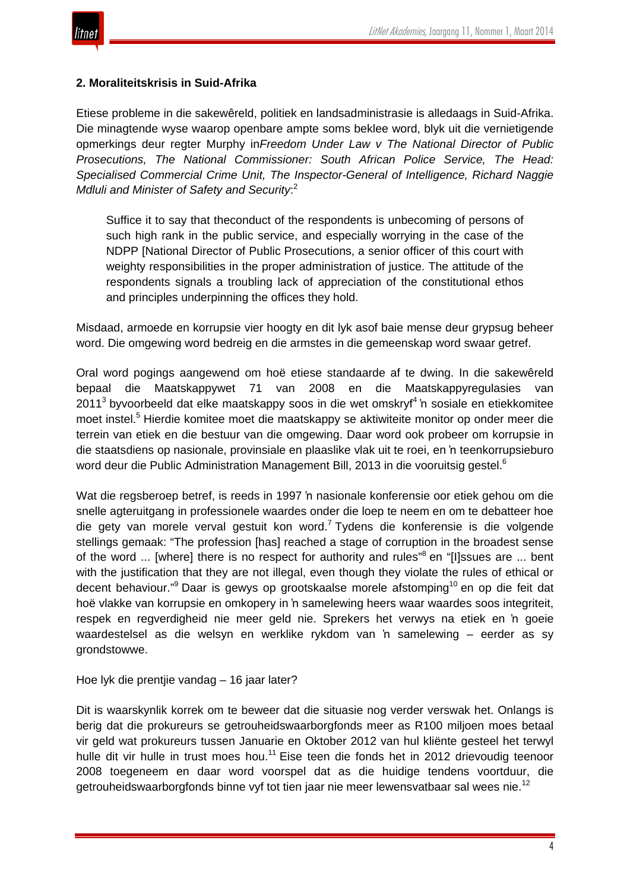

#### **2. Moraliteitskrisis in Suid-Afrika**

Etiese probleme in die sakewêreld, politiek en landsadministrasie is alledaags in Suid-Afrika. Die minagtende wyse waarop openbare ampte soms beklee word, blyk uit die vernietigende opmerkings deur regter Murphy in*Freedom Under Law v The National Director of Public Prosecutions, The National Commissioner: South African Police Service, The Head: Specialised Commercial Crime Unit, The Inspector-General of Intelligence, Richard Naggie Mdluli and Minister of Safety and Security*: 2

Suffice it to say that theconduct of the respondents is unbecoming of persons of such high rank in the public service, and especially worrying in the case of the NDPP [National Director of Public Prosecutions, a senior officer of this court with weighty responsibilities in the proper administration of justice. The attitude of the respondents signals a troubling lack of appreciation of the constitutional ethos and principles underpinning the offices they hold.

Misdaad, armoede en korrupsie vier hoogty en dit lyk asof baie mense deur grypsug beheer word. Die omgewing word bedreig en die armstes in die gemeenskap word swaar getref.

Oral word pogings aangewend om hoë etiese standaarde af te dwing. In die sakewêreld bepaal die Maatskappywet 71 van 2008 en die Maatskappyregulasies van  $2011<sup>3</sup>$  byvoorbeeld dat elke maatskappy soos in die wet omskryf<sup>4</sup> 'n sosiale en etiekkomitee moet instel.<sup>5</sup> Hierdie komitee moet die maatskappy se aktiwiteite monitor op onder meer die terrein van etiek en die bestuur van die omgewing. Daar word ook probeer om korrupsie in die staatsdiens op nasionale, provinsiale en plaaslike vlak uit te roei, en 'n teenkorrupsieburo word deur die Public Administration Management Bill, 2013 in die vooruitsig gestel.<sup>6</sup>

Wat die regsberoep betref, is reeds in 1997 'n nasionale konferensie oor etiek gehou om die snelle agteruitgang in professionele waardes onder die loep te neem en om te debatteer hoe die gety van morele verval gestuit kon word.<sup>7</sup> Tydens die konferensie is die volgende stellings gemaak: "The profession [has] reached a stage of corruption in the broadest sense of the word ... [where] there is no respect for authority and rules"<sup>8</sup> en "[I]ssues are ... bent with the justification that they are not illegal, even though they violate the rules of ethical or decent behaviour."<sup>9</sup> Daar is gewys op grootskaalse morele afstomping<sup>10</sup> en op die feit dat hoë vlakke van korrupsie en omkopery in 'n samelewing heers waar waardes soos integriteit, respek en regverdigheid nie meer geld nie. Sprekers het verwys na etiek en 'n goeie waardestelsel as die welsyn en werklike rykdom van 'n samelewing – eerder as sy grondstowwe.

Hoe lyk die prentjie vandag – 16 jaar later?

Dit is waarskynlik korrek om te beweer dat die situasie nog verder verswak het. Onlangs is berig dat die prokureurs se getrouheidswaarborgfonds meer as R100 miljoen moes betaal vir geld wat prokureurs tussen Januarie en Oktober 2012 van hul kliënte gesteel het terwyl hulle dit vir hulle in trust moes hou.<sup>11</sup> Eise teen die fonds het in 2012 drievoudig teenoor 2008 toegeneem en daar word voorspel dat as die huidige tendens voortduur, die getrouheidswaarborgfonds binne vyf tot tien jaar nie meer lewensvatbaar sal wees nie.<sup>12</sup>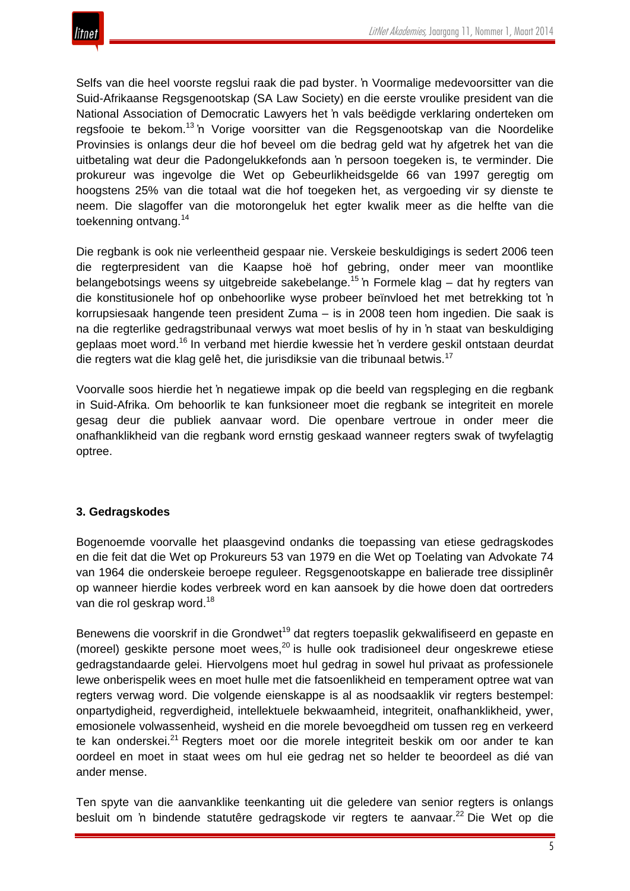

Selfs van die heel voorste regslui raak die pad byster. 'n Voormalige medevoorsitter van die Suid-Afrikaanse Regsgenootskap (SA Law Society) en die eerste vroulike president van die National Association of Democratic Lawyers het 'n vals beëdigde verklaring onderteken om regsfooie te bekom.<sup>13</sup> 'n Vorige voorsitter van die Regsgenootskap van die Noordelike Provinsies is onlangs deur die hof beveel om die bedrag geld wat hy afgetrek het van die uitbetaling wat deur die Padongelukkefonds aan 'n persoon toegeken is, te verminder. Die prokureur was ingevolge die Wet op Gebeurlikheidsgelde 66 van 1997 geregtig om hoogstens 25% van die totaal wat die hof toegeken het, as vergoeding vir sy dienste te neem. Die slagoffer van die motorongeluk het egter kwalik meer as die helfte van die toekenning ontvang.<sup>14</sup>

Die regbank is ook nie verleentheid gespaar nie. Verskeie beskuldigings is sedert 2006 teen die regterpresident van die Kaapse hoë hof gebring, onder meer van moontlike belangebotsings weens sy uitgebreide sakebelange.<sup>15</sup> 'n Formele klag – dat hy regters van die konstitusionele hof op onbehoorlike wyse probeer beïnvloed het met betrekking tot 'n korrupsiesaak hangende teen president Zuma – is in 2008 teen hom ingedien. Die saak is na die regterlike gedragstribunaal verwys wat moet beslis of hy in 'n staat van beskuldiging geplaas moet word.<sup>16</sup> In verband met hierdie kwessie het 'n verdere geskil ontstaan deurdat die regters wat die klag gelê het, die jurisdiksie van die tribunaal betwis.<sup>17</sup>

Voorvalle soos hierdie het 'n negatiewe impak op die beeld van regspleging en die regbank in Suid-Afrika. Om behoorlik te kan funksioneer moet die regbank se integriteit en morele gesag deur die publiek aanvaar word. Die openbare vertroue in onder meer die onafhanklikheid van die regbank word ernstig geskaad wanneer regters swak of twyfelagtig optree.

#### **3. Gedragskodes**

Bogenoemde voorvalle het plaasgevind ondanks die toepassing van etiese gedragskodes en die feit dat die Wet op Prokureurs 53 van 1979 en die Wet op Toelating van Advokate 74 van 1964 die onderskeie beroepe reguleer. Regsgenootskappe en balierade tree dissiplinêr op wanneer hierdie kodes verbreek word en kan aansoek by die howe doen dat oortreders van die rol geskrap word.<sup>18</sup>

Benewens die voorskrif in die Grondwet<sup>19</sup> dat regters toepaslik gekwalifiseerd en gepaste en (moreel) geskikte persone moet wees, $^{20}$  is hulle ook tradisioneel deur ongeskrewe etiese gedragstandaarde gelei. Hiervolgens moet hul gedrag in sowel hul privaat as professionele lewe onberispelik wees en moet hulle met die fatsoenlikheid en temperament optree wat van regters verwag word. Die volgende eienskappe is al as noodsaaklik vir regters bestempel: onpartydigheid, regverdigheid, intellektuele bekwaamheid, integriteit, onafhanklikheid, ywer, emosionele volwassenheid, wysheid en die morele bevoegdheid om tussen reg en verkeerd te kan onderskei.<sup>21</sup> Regters moet oor die morele integriteit beskik om oor ander te kan oordeel en moet in staat wees om hul eie gedrag net so helder te beoordeel as dié van ander mense.

Ten spyte van die aanvanklike teenkanting uit die geledere van senior regters is onlangs besluit om 'n bindende statutêre gedragskode vir regters te aanvaar.<sup>22</sup> Die Wet op die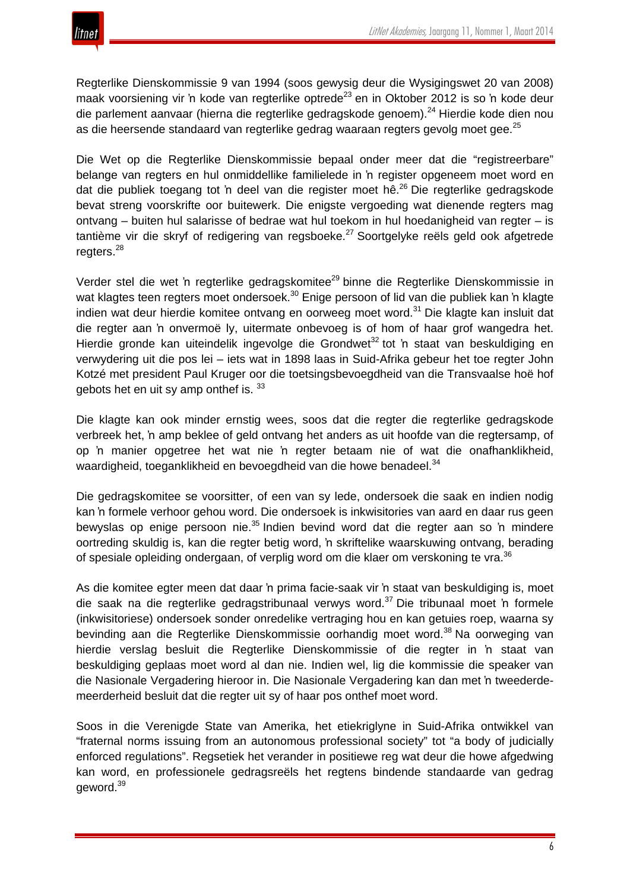

Regterlike Dienskommissie 9 van 1994 (soos gewysig deur die Wysigingswet 20 van 2008) maak voorsiening vir 'n kode van regterlike optrede<sup>23</sup> en in Oktober 2012 is so 'n kode deur die parlement aanvaar (hierna die regterlike gedragskode genoem).<sup>24</sup> Hierdie kode dien nou as die heersende standaard van regterlike gedrag waaraan regters gevolg moet gee.<sup>25</sup>

Die Wet op die Regterlike Dienskommissie bepaal onder meer dat die "registreerbare" belange van regters en hul onmiddellike familielede in 'n register opgeneem moet word en dat die publiek toegang tot 'n deel van die register moet hê.<sup>26</sup> Die regterlike gedragskode bevat streng voorskrifte oor buitewerk. Die enigste vergoeding wat dienende regters mag ontvang – buiten hul salarisse of bedrae wat hul toekom in hul hoedanigheid van regter – is tantième vir die skryf of redigering van regsboeke.<sup>27</sup> Soortgelyke reëls geld ook afgetrede regters.<sup>28</sup>

Verder stel die wet 'n regterlike gedragskomitee<sup>29</sup> binne die Regterlike Dienskommissie in wat klagtes teen regters moet ondersoek.<sup>30</sup> Enige persoon of lid van die publiek kan 'n klagte indien wat deur hierdie komitee ontvang en oorweeg moet word.<sup>31</sup> Die klagte kan insluit dat die regter aan 'n onvermoë ly, uitermate onbevoeg is of hom of haar grof wangedra het. Hierdie gronde kan uiteindelik ingevolge die Grondwet<sup>32</sup> tot 'n staat van beskuldiging en verwydering uit die pos lei – iets wat in 1898 laas in Suid-Afrika gebeur het toe regter John Kotzé met president Paul Kruger oor die toetsingsbevoegdheid van die Transvaalse hoë hof gebots het en uit sy amp on the f is.  $33$ 

Die klagte kan ook minder ernstig wees, soos dat die regter die regterlike gedragskode verbreek het, 'n amp beklee of geld ontvang het anders as uit hoofde van die regtersamp, of op 'n manier opgetree het wat nie 'n regter betaam nie of wat die onafhanklikheid, waardigheid, toeganklikheid en bevoegdheid van die howe benadeel.<sup>34</sup>

Die gedragskomitee se voorsitter, of een van sy lede, ondersoek die saak en indien nodig kan 'n formele verhoor gehou word. Die ondersoek is inkwisitories van aard en daar rus geen bewyslas op enige persoon nie.<sup>35</sup> Indien bevind word dat die regter aan so 'n mindere oortreding skuldig is, kan die regter betig word, 'n skriftelike waarskuwing ontvang, berading of spesiale opleiding ondergaan, of verplig word om die klaer om verskoning te vra.<sup>36</sup>

As die komitee egter meen dat daar 'n prima facie-saak vir 'n staat van beskuldiging is, moet die saak na die regterlike gedragstribunaal verwys word.<sup>37</sup> Die tribunaal moet 'n formele (inkwisitoriese) ondersoek sonder onredelike vertraging hou en kan getuies roep, waarna sy bevinding aan die Regterlike Dienskommissie oorhandig moet word.<sup>38</sup> Na oorweging van hierdie verslag besluit die Regterlike Dienskommissie of die regter in 'n staat van beskuldiging geplaas moet word al dan nie. Indien wel, lig die kommissie die speaker van die Nasionale Vergadering hieroor in. Die Nasionale Vergadering kan dan met 'n tweederdemeerderheid besluit dat die regter uit sy of haar pos onthef moet word.

Soos in die Verenigde State van Amerika, het etiekriglyne in Suid-Afrika ontwikkel van "fraternal norms issuing from an autonomous professional society" tot "a body of judicially enforced regulations". Regsetiek het verander in positiewe reg wat deur die howe afgedwing kan word, en professionele gedragsreëls het regtens bindende standaarde van gedrag geword.<sup>39</sup>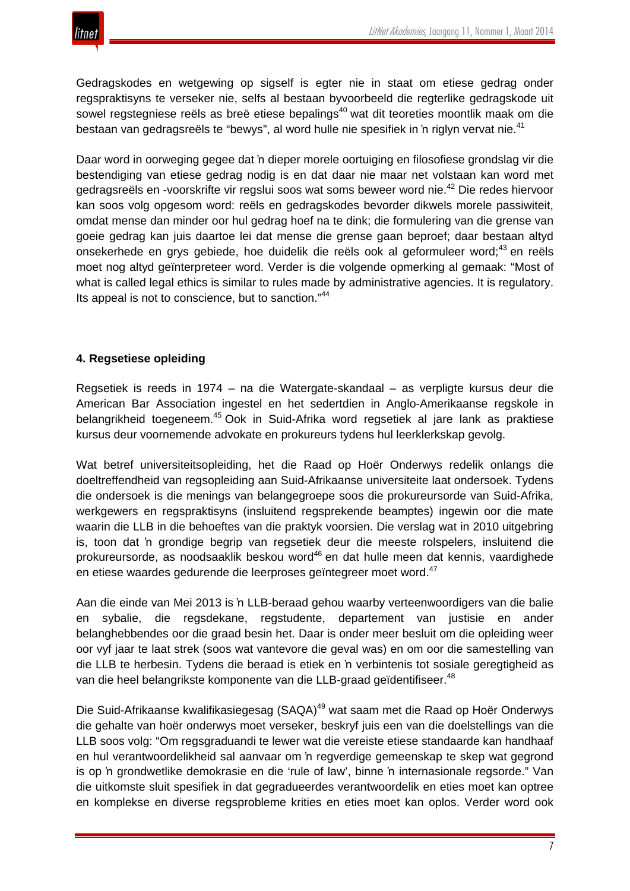

Gedragskodes en wetgewing op sigself is egter nie in staat om etiese gedrag onder regspraktisyns te verseker nie, selfs al bestaan byvoorbeeld die regterlike gedragskode uit sowel regstegniese reëls as breë etiese bepalings<sup>40</sup> wat dit teoreties moontlik maak om die bestaan van gedragsreëls te "bewys", al word hulle nie spesifiek in 'n riglyn vervat nie.<sup>41</sup>

Daar word in oorweging gegee dat 'n dieper morele oortuiging en filosofiese grondslag vir die bestendiging van etiese gedrag nodig is en dat daar nie maar net volstaan kan word met gedragsreëls en -voorskrifte vir regslui soos wat soms beweer word nie.<sup>42</sup> Die redes hiervoor kan soos volg opgesom word: reëls en gedragskodes bevorder dikwels morele passiwiteit, omdat mense dan minder oor hul gedrag hoef na te dink; die formulering van die grense van goeie gedrag kan juis daartoe lei dat mense die grense gaan beproef; daar bestaan altyd onsekerhede en grys gebiede, hoe duidelik die reëls ook al geformuleer word:<sup>43</sup> en reëls moet nog altyd geïnterpreteer word. Verder is die volgende opmerking al gemaak: "Most of what is called legal ethics is similar to rules made by administrative agencies. It is regulatory. Its appeal is not to conscience, but to sanction."<sup>44</sup>

#### **4. Regsetiese opleiding**

Regsetiek is reeds in 1974 – na die Watergate-skandaal – as verpligte kursus deur die American Bar Association ingestel en het sedertdien in Anglo-Amerikaanse regskole in belangrikheid toegeneem.<sup>45</sup> Ook in Suid-Afrika word regsetiek al jare lank as praktiese kursus deur voornemende advokate en prokureurs tydens hul leerklerkskap gevolg.

Wat betref universiteitsopleiding, het die Raad op Hoër Onderwys redelik onlangs die doeltreffendheid van regsopleiding aan Suid-Afrikaanse universiteite laat ondersoek. Tydens die ondersoek is die menings van belangegroepe soos die prokureursorde van Suid-Afrika, werkgewers en regspraktisyns (insluitend regsprekende beamptes) ingewin oor die mate waarin die LLB in die behoeftes van die praktyk voorsien. Die verslag wat in 2010 uitgebring is, toon dat 'n grondige begrip van regsetiek deur die meeste rolspelers, insluitend die prokureursorde, as noodsaaklik beskou word<sup>46</sup> en dat hulle meen dat kennis, vaardighede en etiese waardes gedurende die leerproses geïntegreer moet word.<sup>47</sup>

Aan die einde van Mei 2013 is 'n LLB-beraad gehou waarby verteenwoordigers van die balie en sybalie, die regsdekane, regstudente, departement van justisie en ander belanghebbendes oor die graad besin het. Daar is onder meer besluit om die opleiding weer oor vyf jaar te laat strek (soos wat vantevore die geval was) en om oor die samestelling van die LLB te herbesin. Tydens die beraad is etiek en 'n verbintenis tot sosiale geregtigheid as van die heel belangrikste komponente van die LLB-graad geïdentifiseer.<sup>48</sup>

Die Suid-Afrikaanse kwalifikasiegesag (SAQA)<sup>49</sup> wat saam met die Raad op Hoër Onderwys die gehalte van hoër onderwys moet verseker, beskryf juis een van die doelstellings van die LLB soos volg: "Om regsgraduandi te lewer wat die vereiste etiese standaarde kan handhaaf en hul verantwoordelikheid sal aanvaar om 'n regverdige gemeenskap te skep wat gegrond is op 'n grondwetlike demokrasie en die 'rule of law', binne 'n internasionale regsorde." Van die uitkomste sluit spesifiek in dat gegradueerdes verantwoordelik en eties moet kan optree en komplekse en diverse regsprobleme krities en eties moet kan oplos. Verder word ook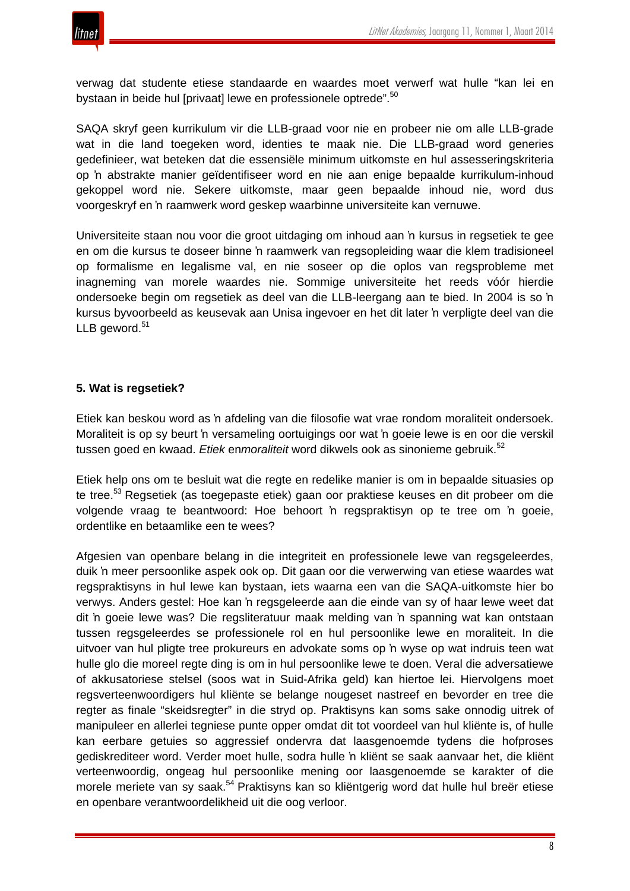

verwag dat studente etiese standaarde en waardes moet verwerf wat hulle "kan lei en bystaan in beide hul [privaat] lewe en professionele optrede".<sup>50</sup>

SAQA skryf geen kurrikulum vir die LLB-graad voor nie en probeer nie om alle LLB-grade wat in die land toegeken word, identies te maak nie. Die LLB-graad word generies gedefinieer, wat beteken dat die essensiële minimum uitkomste en hul assesseringskriteria op 'n abstrakte manier geïdentifiseer word en nie aan enige bepaalde kurrikulum-inhoud gekoppel word nie. Sekere uitkomste, maar geen bepaalde inhoud nie, word dus voorgeskryf en 'n raamwerk word geskep waarbinne universiteite kan vernuwe.

Universiteite staan nou voor die groot uitdaging om inhoud aan 'n kursus in regsetiek te gee en om die kursus te doseer binne 'n raamwerk van regsopleiding waar die klem tradisioneel op formalisme en legalisme val, en nie soseer op die oplos van regsprobleme met inagneming van morele waardes nie. Sommige universiteite het reeds vóór hierdie ondersoeke begin om regsetiek as deel van die LLB-leergang aan te bied. In 2004 is so 'n kursus byvoorbeeld as keusevak aan Unisa ingevoer en het dit later 'n verpligte deel van die LLB geword. $51$ 

## **5. Wat is regsetiek?**

Etiek kan beskou word as 'n afdeling van die filosofie wat vrae rondom moraliteit ondersoek. Moraliteit is op sy beurt 'n versameling oortuigings oor wat 'n goeie lewe is en oor die verskil tussen goed en kwaad. *Etiek* en*moraliteit* word dikwels ook as sinonieme gebruik.<sup>52</sup>

Etiek help ons om te besluit wat die regte en redelike manier is om in bepaalde situasies op te tree.<sup>53</sup> Regsetiek (as toegepaste etiek) gaan oor praktiese keuses en dit probeer om die volgende vraag te beantwoord: Hoe behoort 'n regspraktisyn op te tree om 'n goeie, ordentlike en betaamlike een te wees?

Afgesien van openbare belang in die integriteit en professionele lewe van regsgeleerdes, duik 'n meer persoonlike aspek ook op. Dit gaan oor die verwerwing van etiese waardes wat regspraktisyns in hul lewe kan bystaan, iets waarna een van die SAQA-uitkomste hier bo verwys. Anders gestel: Hoe kan 'n regsgeleerde aan die einde van sy of haar lewe weet dat dit 'n goeie lewe was? Die regsliteratuur maak melding van 'n spanning wat kan ontstaan tussen regsgeleerdes se professionele rol en hul persoonlike lewe en moraliteit. In die uitvoer van hul pligte tree prokureurs en advokate soms op 'n wyse op wat indruis teen wat hulle glo die moreel regte ding is om in hul persoonlike lewe te doen. Veral die adversatiewe of akkusatoriese stelsel (soos wat in Suid-Afrika geld) kan hiertoe lei. Hiervolgens moet regsverteenwoordigers hul kliënte se belange nougeset nastreef en bevorder en tree die regter as finale "skeidsregter" in die stryd op. Praktisyns kan soms sake onnodig uitrek of manipuleer en allerlei tegniese punte opper omdat dit tot voordeel van hul kliënte is, of hulle kan eerbare getuies so aggressief ondervra dat laasgenoemde tydens die hofproses gediskrediteer word. Verder moet hulle, sodra hulle 'n kliënt se saak aanvaar het, die kliënt verteenwoordig, ongeag hul persoonlike mening oor laasgenoemde se karakter of die morele meriete van sy saak.<sup>54</sup> Praktisyns kan so kliëntgerig word dat hulle hul breër etiese en openbare verantwoordelikheid uit die oog verloor.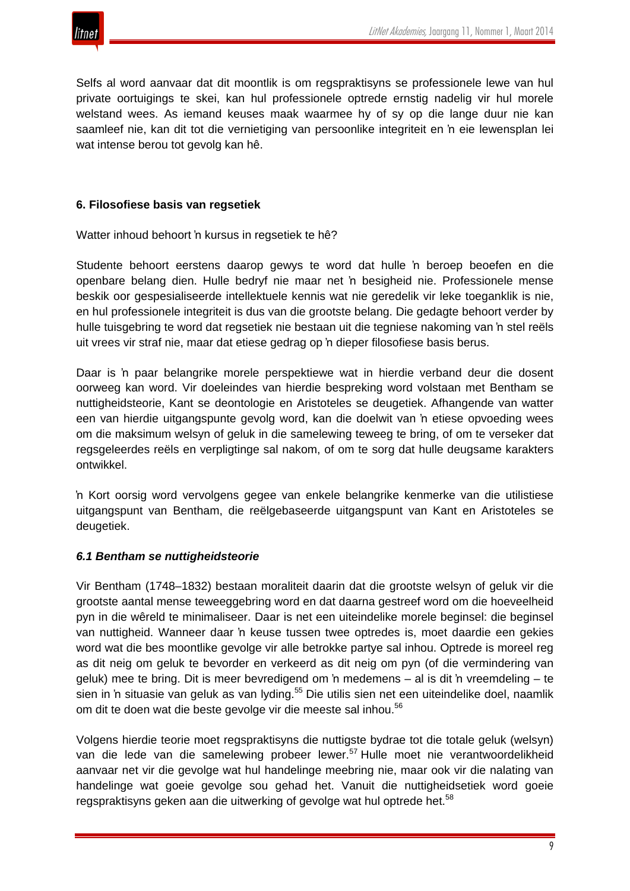

Selfs al word aanvaar dat dit moontlik is om regspraktisyns se professionele lewe van hul private oortuigings te skei, kan hul professionele optrede ernstig nadelig vir hul morele welstand wees. As iemand keuses maak waarmee hy of sy op die lange duur nie kan saamleef nie, kan dit tot die vernietiging van persoonlike integriteit en 'n eie lewensplan lei wat intense berou tot gevolg kan hê.

#### **6. Filosofiese basis van regsetiek**

Watter inhoud behoort 'n kursus in regsetiek te hê?

Studente behoort eerstens daarop gewys te word dat hulle 'n beroep beoefen en die openbare belang dien. Hulle bedryf nie maar net 'n besigheid nie. Professionele mense beskik oor gespesialiseerde intellektuele kennis wat nie geredelik vir leke toeganklik is nie, en hul professionele integriteit is dus van die grootste belang. Die gedagte behoort verder by hulle tuisgebring te word dat regsetiek nie bestaan uit die tegniese nakoming van 'n stel reëls uit vrees vir straf nie, maar dat etiese gedrag op 'n dieper filosofiese basis berus.

Daar is 'n paar belangrike morele perspektiewe wat in hierdie verband deur die dosent oorweeg kan word. Vir doeleindes van hierdie bespreking word volstaan met Bentham se nuttigheidsteorie, Kant se deontologie en Aristoteles se deugetiek. Afhangende van watter een van hierdie uitgangspunte gevolg word, kan die doelwit van 'n etiese opvoeding wees om die maksimum welsyn of geluk in die samelewing teweeg te bring, of om te verseker dat regsgeleerdes reëls en verpligtinge sal nakom, of om te sorg dat hulle deugsame karakters ontwikkel.

'n Kort oorsig word vervolgens gegee van enkele belangrike kenmerke van die utilistiese uitgangspunt van Bentham, die reëlgebaseerde uitgangspunt van Kant en Aristoteles se deugetiek.

#### *6.1 Bentham se nuttigheidsteorie*

Vir Bentham (1748–1832) bestaan moraliteit daarin dat die grootste welsyn of geluk vir die grootste aantal mense teweeggebring word en dat daarna gestreef word om die hoeveelheid pyn in die wêreld te minimaliseer. Daar is net een uiteindelike morele beginsel: die beginsel van nuttigheid. Wanneer daar 'n keuse tussen twee optredes is, moet daardie een gekies word wat die bes moontlike gevolge vir alle betrokke partye sal inhou. Optrede is moreel reg as dit neig om geluk te bevorder en verkeerd as dit neig om pyn (of die vermindering van geluk) mee te bring. Dit is meer bevredigend om 'n medemens – al is dit 'n vreemdeling – te sien in 'n situasie van geluk as van lyding.<sup>55</sup> Die utilis sien net een uiteindelike doel, naamlik om dit te doen wat die beste gevolge vir die meeste sal inhou.<sup>56</sup>

Volgens hierdie teorie moet regspraktisyns die nuttigste bydrae tot die totale geluk (welsyn) van die lede van die samelewing probeer lewer.<sup>57</sup> Hulle moet nie verantwoordelikheid aanvaar net vir die gevolge wat hul handelinge meebring nie, maar ook vir die nalating van handelinge wat goeie gevolge sou gehad het. Vanuit die nuttigheidsetiek word goeie regspraktisyns geken aan die uitwerking of gevolge wat hul optrede het.<sup>58</sup>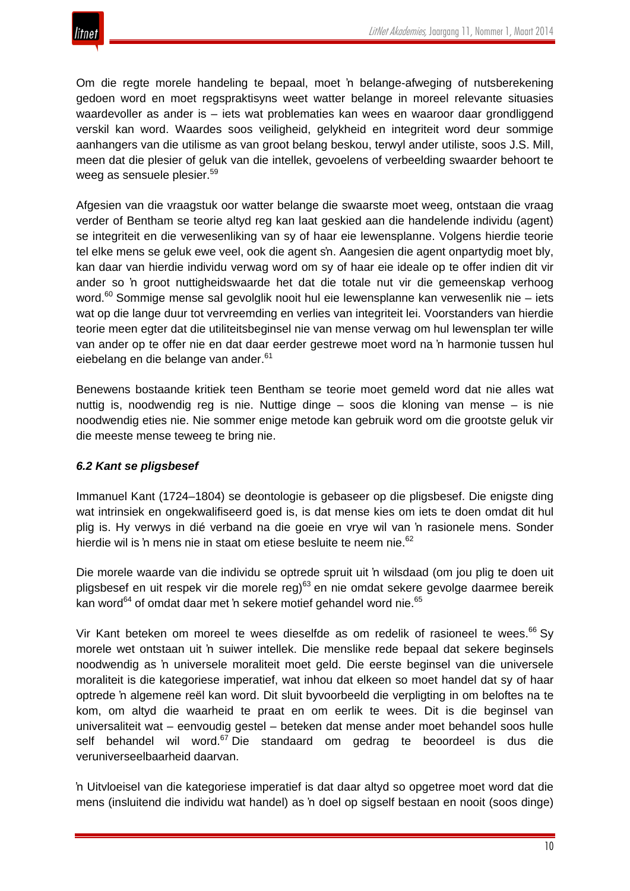Om die regte morele handeling te bepaal, moet 'n belange-afweging of nutsberekening gedoen word en moet regspraktisyns weet watter belange in moreel relevante situasies waardevoller as ander is – iets wat problematies kan wees en waaroor daar grondliggend verskil kan word. Waardes soos veiligheid, gelykheid en integriteit word deur sommige aanhangers van die utilisme as van groot belang beskou, terwyl ander utiliste, soos J.S. Mill, meen dat die plesier of geluk van die intellek, gevoelens of verbeelding swaarder behoort te weeg as sensuele plesier.<sup>59</sup>

Afgesien van die vraagstuk oor watter belange die swaarste moet weeg, ontstaan die vraag verder of Bentham se teorie altyd reg kan laat geskied aan die handelende individu (agent) se integriteit en die verwesenliking van sy of haar eie lewensplanne. Volgens hierdie teorie tel elke mens se geluk ewe veel, ook die agent s'n. Aangesien die agent onpartydig moet bly, kan daar van hierdie individu verwag word om sy of haar eie ideale op te offer indien dit vir ander so 'n groot nuttigheidswaarde het dat die totale nut vir die gemeenskap verhoog word.<sup>60</sup> Sommige mense sal gevolglik nooit hul eie lewensplanne kan verwesenlik nie – iets wat op die lange duur tot vervreemding en verlies van integriteit lei. Voorstanders van hierdie teorie meen egter dat die utiliteitsbeginsel nie van mense verwag om hul lewensplan ter wille van ander op te offer nie en dat daar eerder gestrewe moet word na 'n harmonie tussen hul eiebelang en die belange van ander.<sup>61</sup>

Benewens bostaande kritiek teen Bentham se teorie moet gemeld word dat nie alles wat nuttig is, noodwendig reg is nie. Nuttige dinge – soos die kloning van mense – is nie noodwendig eties nie. Nie sommer enige metode kan gebruik word om die grootste geluk vir die meeste mense teweeg te bring nie.

# *6.2 Kant se pligsbesef*

Immanuel Kant (1724–1804) se deontologie is gebaseer op die pligsbesef. Die enigste ding wat intrinsiek en ongekwalifiseerd goed is, is dat mense kies om iets te doen omdat dit hul plig is. Hy verwys in dié verband na die goeie en vrye wil van 'n rasionele mens. Sonder hierdie wil is 'n mens nie in staat om etiese besluite te neem nie.<sup>62</sup>

Die morele waarde van die individu se optrede spruit uit 'n wilsdaad (om jou plig te doen uit pligsbesef en uit respek vir die morele reg)<sup>63</sup> en nie omdat sekere gevolge daarmee bereik kan word<sup>64</sup> of omdat daar met 'n sekere motief gehandel word nie.<sup>65</sup>

Vir Kant beteken om moreel te wees dieselfde as om redelik of rasioneel te wees. $66$  Sy morele wet ontstaan uit 'n suiwer intellek. Die menslike rede bepaal dat sekere beginsels noodwendig as 'n universele moraliteit moet geld. Die eerste beginsel van die universele moraliteit is die kategoriese imperatief, wat inhou dat elkeen so moet handel dat sy of haar optrede 'n algemene reël kan word. Dit sluit byvoorbeeld die verpligting in om beloftes na te kom, om altyd die waarheid te praat en om eerlik te wees. Dit is die beginsel van universaliteit wat – eenvoudig gestel – beteken dat mense ander moet behandel soos hulle self behandel wil word.<sup>67</sup> Die standaard om gedrag te beoordeel is dus die veruniverseelbaarheid daarvan.

'n Uitvloeisel van die kategoriese imperatief is dat daar altyd so opgetree moet word dat die mens (insluitend die individu wat handel) as 'n doel op sigself bestaan en nooit (soos dinge)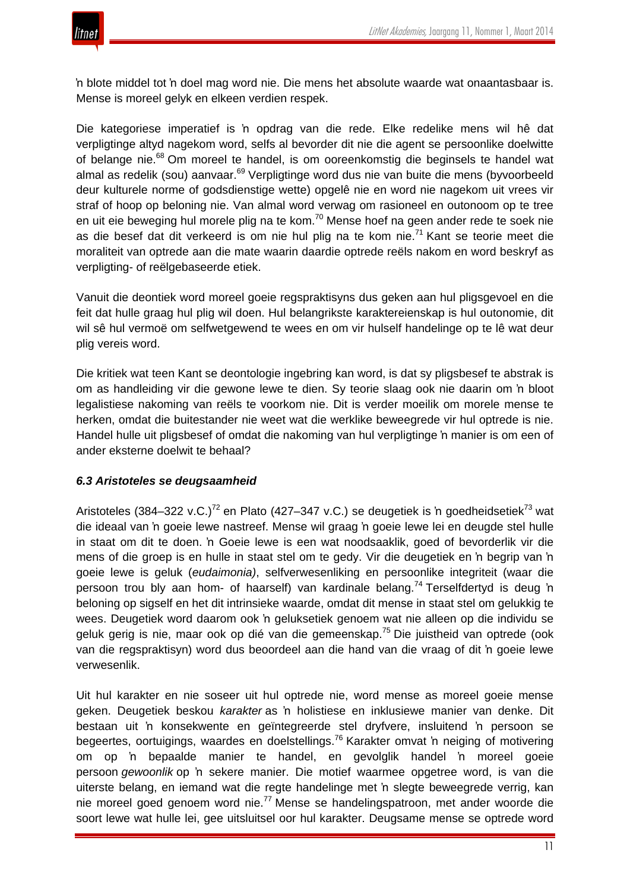

'n blote middel tot 'n doel mag word nie. Die mens het absolute waarde wat onaantasbaar is. Mense is moreel gelyk en elkeen verdien respek.

Die kategoriese imperatief is 'n opdrag van die rede. Elke redelike mens wil hê dat verpligtinge altyd nagekom word, selfs al bevorder dit nie die agent se persoonlike doelwitte of belange nie.<sup>68</sup> Om moreel te handel, is om ooreenkomstig die beginsels te handel wat almal as redelik (sou) aanvaar.<sup>69</sup> Verpligtinge word dus nie van buite die mens (byvoorbeeld deur kulturele norme of godsdienstige wette) opgelê nie en word nie nagekom uit vrees vir straf of hoop op beloning nie. Van almal word verwag om rasioneel en outonoom op te tree en uit eie beweging hul morele plig na te kom.<sup>70</sup> Mense hoef na geen ander rede te soek nie as die besef dat dit verkeerd is om nie hul plig na te kom nie.<sup>71</sup> Kant se teorie meet die moraliteit van optrede aan die mate waarin daardie optrede reëls nakom en word beskryf as verpligting- of reëlgebaseerde etiek.

Vanuit die deontiek word moreel goeie regspraktisyns dus geken aan hul pligsgevoel en die feit dat hulle graag hul plig wil doen. Hul belangrikste karaktereienskap is hul outonomie, dit wil sê hul vermoë om selfwetgewend te wees en om vir hulself handelinge op te lê wat deur plig vereis word.

Die kritiek wat teen Kant se deontologie ingebring kan word, is dat sy pligsbesef te abstrak is om as handleiding vir die gewone lewe te dien. Sy teorie slaag ook nie daarin om 'n bloot legalistiese nakoming van reëls te voorkom nie. Dit is verder moeilik om morele mense te herken, omdat die buitestander nie weet wat die werklike beweegrede vir hul optrede is nie. Handel hulle uit pligsbesef of omdat die nakoming van hul verpligtinge 'n manier is om een of ander eksterne doelwit te behaal?

#### *6.3 Aristoteles se deugsaamheid*

Aristoteles (384–322 v.C.)<sup>72</sup> en Plato (427–347 v.C.) se deugetiek is 'n goedheidsetiek<sup>73</sup> wat die ideaal van 'n goeie lewe nastreef. Mense wil graag 'n goeie lewe lei en deugde stel hulle in staat om dit te doen. 'n Goeie lewe is een wat noodsaaklik, goed of bevorderlik vir die mens of die groep is en hulle in staat stel om te gedy. Vir die deugetiek en 'n begrip van 'n goeie lewe is geluk (*eudaimonia)*, selfverwesenliking en persoonlike integriteit (waar die persoon trou bly aan hom- of haarself) van kardinale belang.<sup>74</sup> Terselfdertyd is deug 'n beloning op sigself en het dit intrinsieke waarde, omdat dit mense in staat stel om gelukkig te wees. Deugetiek word daarom ook 'n geluksetiek genoem wat nie alleen op die individu se geluk gerig is nie, maar ook op dié van die gemeenskap.<sup>75</sup> Die juistheid van optrede (ook van die regspraktisyn) word dus beoordeel aan die hand van die vraag of dit 'n goeie lewe verwesenlik.

Uit hul karakter en nie soseer uit hul optrede nie, word mense as moreel goeie mense geken. Deugetiek beskou *karakter* as 'n holistiese en inklusiewe manier van denke. Dit bestaan uit 'n konsekwente en geïntegreerde stel dryfvere, insluitend 'n persoon se begeertes, oortuigings, waardes en doelstellings.<sup>76</sup> Karakter omvat 'n neiging of motivering om op 'n bepaalde manier te handel, en gevolglik handel 'n moreel goeie persoon *gewoonlik* op 'n sekere manier. Die motief waarmee opgetree word, is van die uiterste belang, en iemand wat die regte handelinge met 'n slegte beweegrede verrig, kan nie moreel goed genoem word nie.<sup>77</sup> Mense se handelingspatroon, met ander woorde die soort lewe wat hulle lei, gee uitsluitsel oor hul karakter. Deugsame mense se optrede word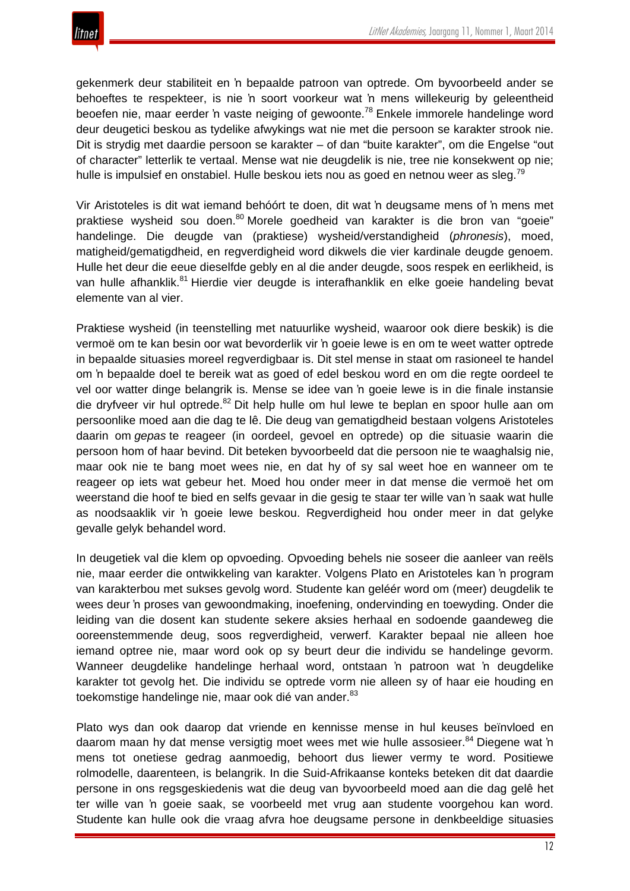gekenmerk deur stabiliteit en 'n bepaalde patroon van optrede. Om byvoorbeeld ander se behoeftes te respekteer, is nie 'n soort voorkeur wat 'n mens willekeurig by geleentheid beoefen nie, maar eerder 'n vaste neiging of gewoonte.<sup>78</sup> Enkele immorele handelinge word deur deugetici beskou as tydelike afwykings wat nie met die persoon se karakter strook nie. Dit is strydig met daardie persoon se karakter – of dan "buite karakter", om die Engelse "out of character" letterlik te vertaal. Mense wat nie deugdelik is nie, tree nie konsekwent op nie; hulle is impulsief en onstabiel. Hulle beskou iets nou as goed en netnou weer as sleg.<sup>79</sup>

Vir Aristoteles is dit wat iemand behóórt te doen, dit wat 'n deugsame mens of 'n mens met praktiese wysheid sou doen.<sup>80</sup> Morele goedheid van karakter is die bron van "goeie" handelinge. Die deugde van (praktiese) wysheid/verstandigheid (*phronesis*), moed, matigheid/gematigdheid, en regverdigheid word dikwels die vier kardinale deugde genoem. Hulle het deur die eeue dieselfde gebly en al die ander deugde, soos respek en eerlikheid, is van hulle afhanklik.<sup>81</sup> Hierdie vier deugde is interafhanklik en elke goeie handeling bevat elemente van al vier.

Praktiese wysheid (in teenstelling met natuurlike wysheid, waaroor ook diere beskik) is die vermoë om te kan besin oor wat bevorderlik vir 'n goeie lewe is en om te weet watter optrede in bepaalde situasies moreel regverdigbaar is. Dit stel mense in staat om rasioneel te handel om 'n bepaalde doel te bereik wat as goed of edel beskou word en om die regte oordeel te vel oor watter dinge belangrik is. Mense se idee van 'n goeie lewe is in die finale instansie die dryfveer vir hul optrede.<sup>82</sup> Dit help hulle om hul lewe te beplan en spoor hulle aan om persoonlike moed aan die dag te lê. Die deug van gematigdheid bestaan volgens Aristoteles daarin om *gepas* te reageer (in oordeel, gevoel en optrede) op die situasie waarin die persoon hom of haar bevind. Dit beteken byvoorbeeld dat die persoon nie te waaghalsig nie, maar ook nie te bang moet wees nie, en dat hy of sy sal weet hoe en wanneer om te reageer op iets wat gebeur het. Moed hou onder meer in dat mense die vermoë het om weerstand die hoof te bied en selfs gevaar in die gesig te staar ter wille van 'n saak wat hulle as noodsaaklik vir 'n goeie lewe beskou. Regverdigheid hou onder meer in dat gelyke gevalle gelyk behandel word.

In deugetiek val die klem op opvoeding. Opvoeding behels nie soseer die aanleer van reëls nie, maar eerder die ontwikkeling van karakter. Volgens Plato en Aristoteles kan 'n program van karakterbou met sukses gevolg word. Studente kan geléér word om (meer) deugdelik te wees deur 'n proses van gewoondmaking, inoefening, ondervinding en toewyding. Onder die leiding van die dosent kan studente sekere aksies herhaal en sodoende gaandeweg die ooreenstemmende deug, soos regverdigheid, verwerf. Karakter bepaal nie alleen hoe iemand optree nie, maar word ook op sy beurt deur die individu se handelinge gevorm. Wanneer deugdelike handelinge herhaal word, ontstaan 'n patroon wat 'n deugdelike karakter tot gevolg het. Die individu se optrede vorm nie alleen sy of haar eie houding en toekomstige handelinge nie, maar ook dié van ander.<sup>83</sup>

Plato wys dan ook daarop dat vriende en kennisse mense in hul keuses beïnvloed en daarom maan hy dat mense versigtig moet wees met wie hulle assosieer.<sup>84</sup> Diegene wat 'n mens tot onetiese gedrag aanmoedig, behoort dus liewer vermy te word. Positiewe rolmodelle, daarenteen, is belangrik. In die Suid-Afrikaanse konteks beteken dit dat daardie persone in ons regsgeskiedenis wat die deug van byvoorbeeld moed aan die dag gelê het ter wille van 'n goeie saak, se voorbeeld met vrug aan studente voorgehou kan word. Studente kan hulle ook die vraag afvra hoe deugsame persone in denkbeeldige situasies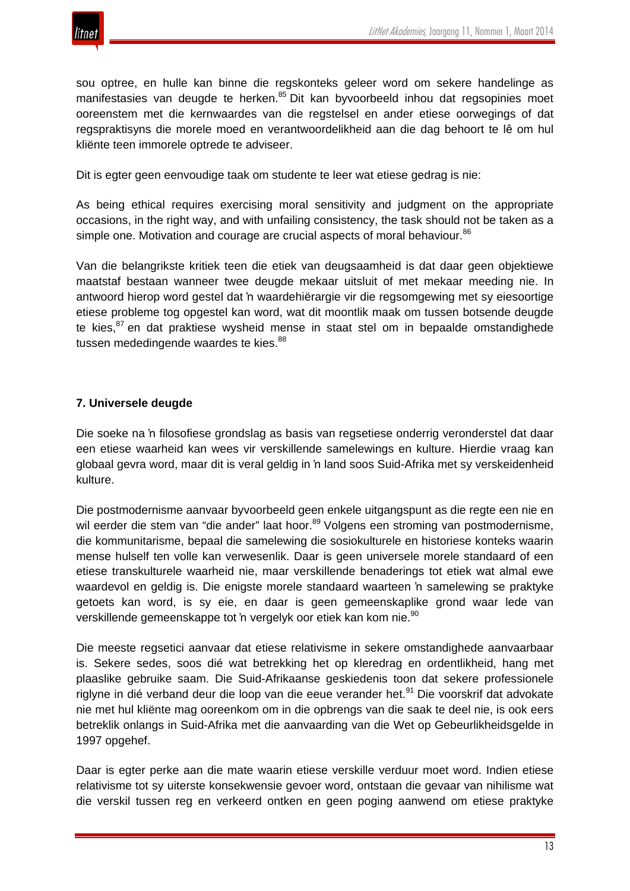

sou optree, en hulle kan binne die regskonteks geleer word om sekere handelinge as manifestasies van deugde te herken.<sup>85</sup> Dit kan byvoorbeeld inhou dat regsopinies moet ooreenstem met die kernwaardes van die regstelsel en ander etiese oorwegings of dat regspraktisyns die morele moed en verantwoordelikheid aan die dag behoort te lê om hul kliënte teen immorele optrede te adviseer.

Dit is egter geen eenvoudige taak om studente te leer wat etiese gedrag is nie:

As being ethical requires exercising moral sensitivity and judgment on the appropriate occasions, in the right way, and with unfailing consistency, the task should not be taken as a simple one. Motivation and courage are crucial aspects of moral behaviour.<sup>86</sup>

Van die belangrikste kritiek teen die etiek van deugsaamheid is dat daar geen objektiewe maatstaf bestaan wanneer twee deugde mekaar uitsluit of met mekaar meeding nie. In antwoord hierop word gestel dat 'n waardehiërargie vir die regsomgewing met sy eiesoortige etiese probleme tog opgestel kan word, wat dit moontlik maak om tussen botsende deugde te kies, $87$  en dat praktiese wysheid mense in staat stel om in bepaalde omstandighede tussen mededingende waardes te kies.<sup>88</sup>

#### **7. Universele deugde**

Die soeke na 'n filosofiese grondslag as basis van regsetiese onderrig veronderstel dat daar een etiese waarheid kan wees vir verskillende samelewings en kulture. Hierdie vraag kan globaal gevra word, maar dit is veral geldig in 'n land soos Suid-Afrika met sy verskeidenheid kulture.

Die postmodernisme aanvaar byvoorbeeld geen enkele uitgangspunt as die regte een nie en wil eerder die stem van "die ander" laat hoor.<sup>89</sup> Volgens een stroming van postmodernisme, die kommunitarisme, bepaal die samelewing die sosiokulturele en historiese konteks waarin mense hulself ten volle kan verwesenlik. Daar is geen universele morele standaard of een etiese transkulturele waarheid nie, maar verskillende benaderings tot etiek wat almal ewe waardevol en geldig is. Die enigste morele standaard waarteen 'n samelewing se praktyke getoets kan word, is sy eie, en daar is geen gemeenskaplike grond waar lede van verskillende gemeenskappe tot 'n vergelyk oor etiek kan kom nie.<sup>90</sup>

Die meeste regsetici aanvaar dat etiese relativisme in sekere omstandighede aanvaarbaar is. Sekere sedes, soos dié wat betrekking het op kleredrag en ordentlikheid, hang met plaaslike gebruike saam. Die Suid-Afrikaanse geskiedenis toon dat sekere professionele riglyne in dié verband deur die loop van die eeue verander het.<sup>91</sup> Die voorskrif dat advokate nie met hul kliënte mag ooreenkom om in die opbrengs van die saak te deel nie, is ook eers betreklik onlangs in Suid-Afrika met die aanvaarding van die Wet op Gebeurlikheidsgelde in 1997 opgehef.

Daar is egter perke aan die mate waarin etiese verskille verduur moet word. Indien etiese relativisme tot sy uiterste konsekwensie gevoer word, ontstaan die gevaar van nihilisme wat die verskil tussen reg en verkeerd ontken en geen poging aanwend om etiese praktyke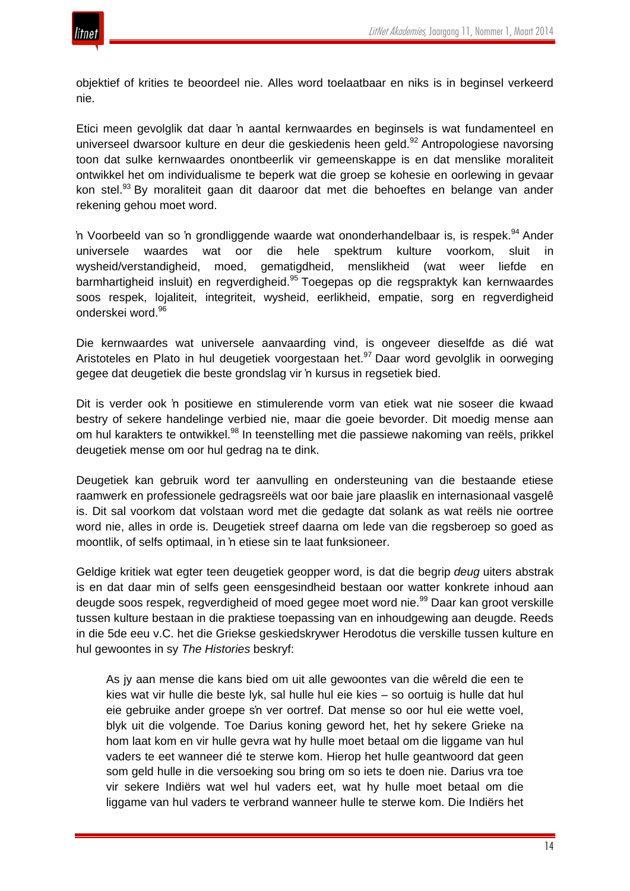

objektief of krities te beoordeel nie. Alles word toelaatbaar en niks is in beginsel verkeerd nie.

Etici meen gevolglik dat daar 'n aantal kernwaardes en beginsels is wat fundamenteel en universeel dwarsoor kulture en deur die geskiedenis heen geld.<sup>92</sup> Antropologiese navorsing toon dat sulke kernwaardes onontbeerlik vir gemeenskappe is en dat menslike moraliteit ontwikkel het om individualisme te beperk wat die groep se kohesie en oorlewing in gevaar kon stel.<sup>93</sup> By moraliteit gaan dit daaroor dat met die behoeftes en belange van ander rekening gehou moet word.

'n Voorbeeld van so 'n grondliggende waarde wat ononderhandelbaar is, is respek.<sup>94</sup> Ander universele waardes wat oor die hele spektrum kulture voorkom, sluit in wysheid/verstandigheid, moed, gematigdheid, menslikheid (wat weer liefde en barmhartigheid insluit) en regverdigheid.<sup>95</sup> Toegepas op die regspraktyk kan kernwaardes soos respek, lojaliteit, integriteit, wysheid, eerlikheid, empatie, sorg en regverdigheid onderskei word.<sup>96</sup>

Die kernwaardes wat universele aanvaarding vind, is ongeveer dieselfde as dié wat Aristoteles en Plato in hul deugetiek voorgestaan het.<sup>97</sup> Daar word gevolglik in oorweging gegee dat deugetiek die beste grondslag vir 'n kursus in regsetiek bied.

Dit is verder ook 'n positiewe en stimulerende vorm van etiek wat nie soseer die kwaad bestry of sekere handelinge verbied nie, maar die goeie bevorder. Dit moedig mense aan om hul karakters te ontwikkel.<sup>98</sup> In teenstelling met die passiewe nakoming van reëls, prikkel deugetiek mense om oor hul gedrag na te dink.

Deugetiek kan gebruik word ter aanvulling en ondersteuning van die bestaande etiese raamwerk en professionele gedragsreëls wat oor baie jare plaaslik en internasionaal vasgelê is. Dit sal voorkom dat volstaan word met die gedagte dat solank as wat reëls nie oortree word nie, alles in orde is. Deugetiek streef daarna om lede van die regsberoep so goed as moontlik, of selfs optimaal, in 'n etiese sin te laat funksioneer.

Geldige kritiek wat egter teen deugetiek geopper word, is dat die begrip *deug* uiters abstrak is en dat daar min of selfs geen eensgesindheid bestaan oor watter konkrete inhoud aan deugde soos respek, regverdigheid of moed gegee moet word nie.<sup>99</sup> Daar kan groot verskille tussen kulture bestaan in die praktiese toepassing van en inhoudgewing aan deugde. Reeds in die 5de eeu v.C. het die Griekse geskiedskrywer Herodotus die verskille tussen kulture en hul gewoontes in sy *The Histories* beskryf:

As jy aan mense die kans bied om uit alle gewoontes van die wêreld die een te kies wat vir hulle die beste lyk, sal hulle hul eie kies – so oortuig is hulle dat hul eie gebruike ander groepe s'n ver oortref. Dat mense so oor hul eie wette voel, blyk uit die volgende. Toe Darius koning geword het, het hy sekere Grieke na hom laat kom en vir hulle gevra wat hy hulle moet betaal om die liggame van hul vaders te eet wanneer dié te sterwe kom. Hierop het hulle geantwoord dat geen som geld hulle in die versoeking sou bring om so iets te doen nie. Darius vra toe vir sekere Indiërs wat wel hul vaders eet, wat hy hulle moet betaal om die liggame van hul vaders te verbrand wanneer hulle te sterwe kom. Die Indiërs het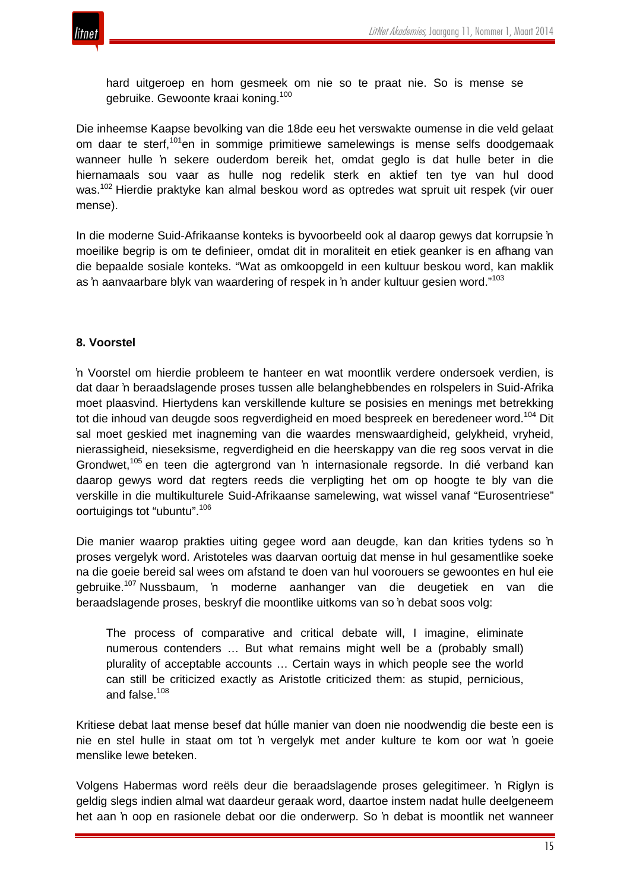

hard uitgeroep en hom gesmeek om nie so te praat nie. So is mense se gebruike. Gewoonte kraai koning.<sup>100</sup>

Die inheemse Kaapse bevolking van die 18de eeu het verswakte oumense in die veld gelaat om daar te sterf,<sup>101</sup>en in sommige primitiewe samelewings is mense selfs doodgemaak wanneer hulle 'n sekere ouderdom bereik het, omdat geglo is dat hulle beter in die hiernamaals sou vaar as hulle nog redelik sterk en aktief ten tye van hul dood was.<sup>102</sup> Hierdie praktyke kan almal beskou word as optredes wat spruit uit respek (vir ouer mense).

In die moderne Suid-Afrikaanse konteks is byvoorbeeld ook al daarop gewys dat korrupsie 'n moeilike begrip is om te definieer, omdat dit in moraliteit en etiek geanker is en afhang van die bepaalde sosiale konteks. "Wat as omkoopgeld in een kultuur beskou word, kan maklik as 'n aanvaarbare blyk van waardering of respek in 'n ander kultuur gesien word."<sup>103</sup>

#### **8. Voorstel**

'n Voorstel om hierdie probleem te hanteer en wat moontlik verdere ondersoek verdien, is dat daar 'n beraadslagende proses tussen alle belanghebbendes en rolspelers in Suid-Afrika moet plaasvind. Hiertydens kan verskillende kulture se posisies en menings met betrekking tot die inhoud van deugde soos regverdigheid en moed bespreek en beredeneer word.<sup>104</sup> Dit sal moet geskied met inagneming van die waardes menswaardigheid, gelykheid, vryheid, nierassigheid, nieseksisme, regverdigheid en die heerskappy van die reg soos vervat in die Grondwet,<sup>105</sup> en teen die agtergrond van 'n internasionale regsorde. In dié verband kan daarop gewys word dat regters reeds die verpligting het om op hoogte te bly van die verskille in die multikulturele Suid-Afrikaanse samelewing, wat wissel vanaf "Eurosentriese" oortuigings tot "ubuntu". 106

Die manier waarop prakties uiting gegee word aan deugde, kan dan krities tydens so 'n proses vergelyk word. Aristoteles was daarvan oortuig dat mense in hul gesamentlike soeke na die goeie bereid sal wees om afstand te doen van hul voorouers se gewoontes en hul eie gebruike.<sup>107</sup> Nussbaum, 'n moderne aanhanger van die deugetiek en van die beraadslagende proses, beskryf die moontlike uitkoms van so 'n debat soos volg:

The process of comparative and critical debate will, I imagine, eliminate numerous contenders … But what remains might well be a (probably small) plurality of acceptable accounts … Certain ways in which people see the world can still be criticized exactly as Aristotle criticized them: as stupid, pernicious, and false.<sup>108</sup>

Kritiese debat laat mense besef dat húlle manier van doen nie noodwendig die beste een is nie en stel hulle in staat om tot 'n vergelyk met ander kulture te kom oor wat 'n goeie menslike lewe beteken.

Volgens Habermas word reëls deur die beraadslagende proses gelegitimeer. 'n Riglyn is geldig slegs indien almal wat daardeur geraak word, daartoe instem nadat hulle deelgeneem het aan 'n oop en rasionele debat oor die onderwerp. So 'n debat is moontlik net wanneer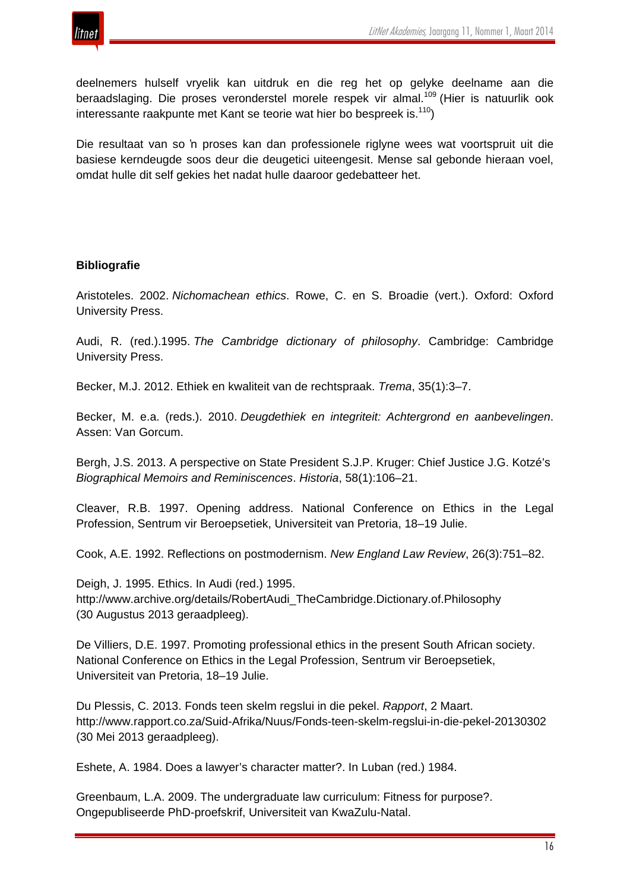

deelnemers hulself vryelik kan uitdruk en die reg het op gelyke deelname aan die beraadslaging. Die proses veronderstel morele respek vir almal.<sup>109</sup> (Hier is natuurlik ook interessante raakpunte met Kant se teorie wat hier bo bespreek is.<sup>110</sup>)

Die resultaat van so 'n proses kan dan professionele riglyne wees wat voortspruit uit die basiese kerndeugde soos deur die deugetici uiteengesit. Mense sal gebonde hieraan voel, omdat hulle dit self gekies het nadat hulle daaroor gedebatteer het.

## **Bibliografie**

Aristoteles. 2002. *Nichomachean ethics*. Rowe, C. en S. Broadie (vert.). Oxford: Oxford University Press.

Audi, R. (red.).1995. *The Cambridge dictionary of philosophy*. Cambridge: Cambridge University Press.

Becker, M.J. 2012. Ethiek en kwaliteit van de rechtspraak. *Trema*, 35(1):3–7.

Becker, M. e.a. (reds.). 2010. *Deugdethiek en integriteit: Achtergrond en aanbevelingen*. Assen: Van Gorcum.

Bergh, J.S. 2013. A perspective on State President S.J.P. Kruger: Chief Justice J.G. Kotzé's *Biographical Memoirs and Reminiscences*. *Historia*, 58(1):106–21.

Cleaver, R.B. 1997. Opening address. National Conference on Ethics in the Legal Profession, Sentrum vir Beroepsetiek, Universiteit van Pretoria, 18–19 Julie.

Cook, A.E. 1992. Reflections on postmodernism. *New England Law Review*, 26(3):751–82.

Deigh, J. 1995. Ethics. In Audi (red.) 1995. http://www.archive.org/details/RobertAudi\_TheCambridge.Dictionary.of.Philosophy (30 Augustus 2013 geraadpleeg).

De Villiers, D.E. 1997. Promoting professional ethics in the present South African society. National Conference on Ethics in the Legal Profession, Sentrum vir Beroepsetiek, Universiteit van Pretoria, 18–19 Julie.

Du Plessis, C. 2013. Fonds teen skelm regslui in die pekel. *Rapport*, 2 Maart. http://www.rapport.co.za/Suid-Afrika/Nuus/Fonds-teen-skelm-regslui-in-die-pekel-20130302 (30 Mei 2013 geraadpleeg).

Eshete, A. 1984. Does a lawyer's character matter?. In Luban (red.) 1984.

Greenbaum, L.A. 2009. The undergraduate law curriculum: Fitness for purpose?. Ongepubliseerde PhD-proefskrif, Universiteit van KwaZulu-Natal.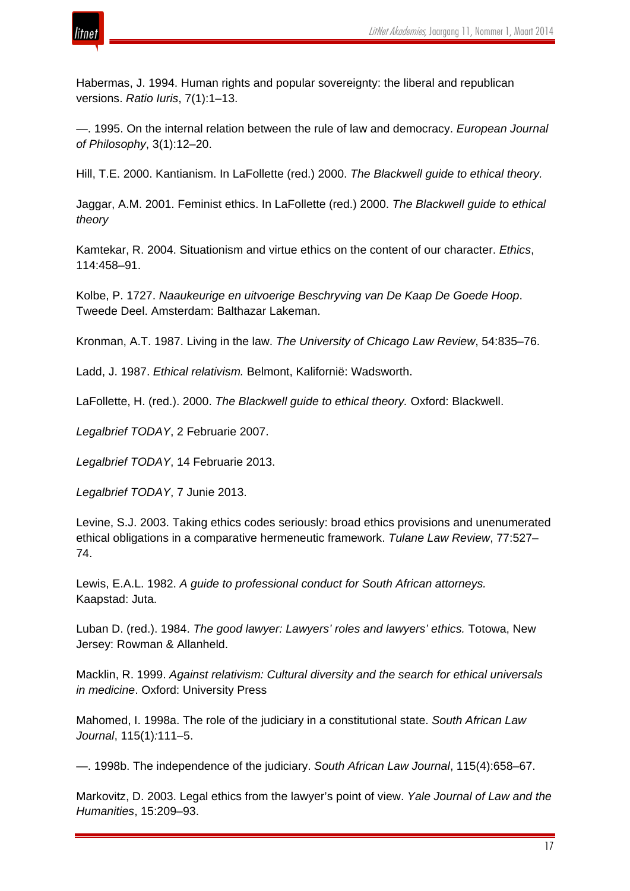



Habermas, J. 1994. Human rights and popular sovereignty: the liberal and republican versions. *Ratio Iuris*, 7(1):1–13.

—. 1995. On the internal relation between the rule of law and democracy. *European Journal of Philosophy*, 3(1):12–20.

Hill, T.E. 2000. Kantianism. In LaFollette (red.) 2000. *The Blackwell guide to ethical theory.*

Jaggar, A.M. 2001. Feminist ethics. In LaFollette (red.) 2000. *The Blackwell guide to ethical theory*

Kamtekar, R. 2004. Situationism and virtue ethics on the content of our character. *Ethics*, 114:458–91.

Kolbe, P. 1727. *Naaukeurige en uitvoerige Beschryving van De Kaap De Goede Hoop*. Tweede Deel. Amsterdam: Balthazar Lakeman.

Kronman, A.T. 1987. Living in the law. *The University of Chicago Law Review*, 54:835–76.

Ladd, J. 1987. *Ethical relativism.* Belmont, Kalifornië: Wadsworth.

LaFollette, H. (red.). 2000. *The Blackwell guide to ethical theory.* Oxford: Blackwell.

*Legalbrief TODAY*, 2 Februarie 2007.

*Legalbrief TODAY*, 14 Februarie 2013.

*Legalbrief TODAY*, 7 Junie 2013.

Levine, S.J. 2003. Taking ethics codes seriously: broad ethics provisions and unenumerated ethical obligations in a comparative hermeneutic framework. *Tulane Law Review*, 77:527– 74.

Lewis, E.A.L. 1982. *A guide to professional conduct for South African attorneys.* Kaapstad: Juta.

Luban D. (red.). 1984. *The good lawyer: Lawyers' roles and lawyers' ethics.* Totowa, New Jersey: Rowman & Allanheld.

Macklin, R. 1999. *Against relativism: Cultural diversity and the search for ethical universals in medicine*. Oxford: University Press

Mahomed, I. 1998a. The role of the judiciary in a constitutional state. *South African Law Journal*, 115(1)*:*111–5.

—. 1998b. The independence of the judiciary. *South African Law Journal*, 115(4):658–67.

Markovitz, D. 2003. Legal ethics from the lawyer's point of view. *Yale Journal of Law and the Humanities*, 15:209–93.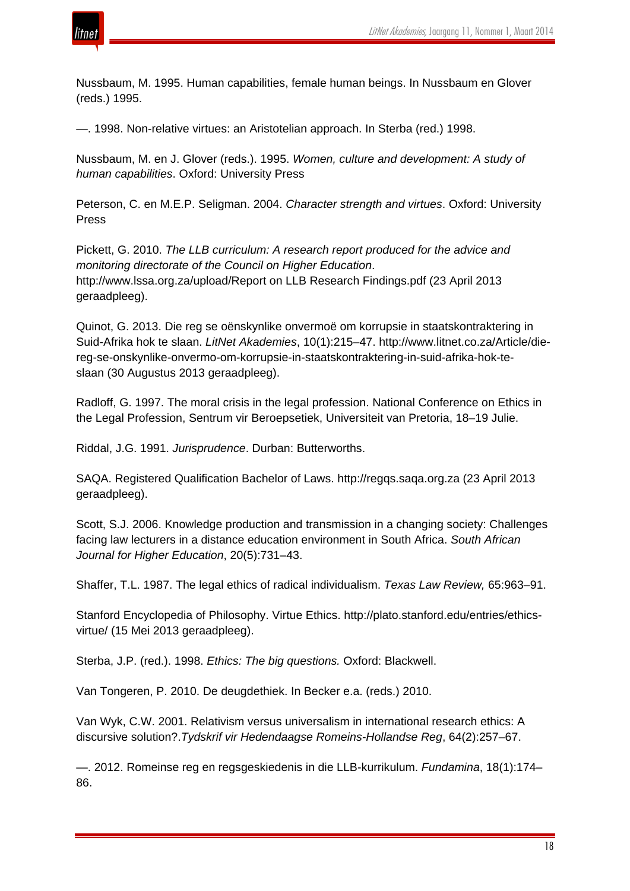Nussbaum, M. 1995. Human capabilities, female human beings. In Nussbaum en Glover (reds.) 1995.

—. 1998. Non-relative virtues: an Aristotelian approach. In Sterba (red.) 1998.

Nussbaum, M. en J. Glover (reds.). 1995. *Women, culture and development: A study of human capabilities*. Oxford: University Press

Peterson, C. en M.E.P. Seligman. 2004. *Character strength and virtues*. Oxford: University Press

Pickett, G. 2010. *The LLB curriculum: A research report produced for the advice and monitoring directorate of the Council on Higher Education*. http://www.lssa.org.za/upload/Report on LLB Research Findings.pdf (23 April 2013 geraadpleeg).

Quinot, G. 2013. Die reg se oënskynlike onvermoë om korrupsie in staatskontraktering in Suid-Afrika hok te slaan. *LitNet Akademies*, 10(1):215–47. http://www.litnet.co.za/Article/diereg-se-onskynlike-onvermo-om-korrupsie-in-staatskontraktering-in-suid-afrika-hok-teslaan (30 Augustus 2013 geraadpleeg).

Radloff, G. 1997. The moral crisis in the legal profession. National Conference on Ethics in the Legal Profession, Sentrum vir Beroepsetiek, Universiteit van Pretoria, 18–19 Julie.

Riddal, J.G. 1991. *Jurisprudence*. Durban: Butterworths.

SAQA. Registered Qualification Bachelor of Laws. http://regqs.saqa.org.za (23 April 2013 geraadpleeg).

Scott, S.J. 2006. Knowledge production and transmission in a changing society: Challenges facing law lecturers in a distance education environment in South Africa. *South African Journal for Higher Education*, 20(5):731–43.

Shaffer, T.L. 1987. The legal ethics of radical individualism. *Texas Law Review,* 65:963–91.

Stanford Encyclopedia of Philosophy. Virtue Ethics. http://plato.stanford.edu/entries/ethicsvirtue/ (15 Mei 2013 geraadpleeg).

Sterba, J.P. (red.). 1998. *Ethics: The big questions.* Oxford: Blackwell.

Van Tongeren, P. 2010. De deugdethiek. In Becker e.a. (reds.) 2010.

Van Wyk, C.W. 2001. Relativism versus universalism in international research ethics: A discursive solution?.*Tydskrif vir Hedendaagse Romeins-Hollandse Reg*, 64(2):257–67.

—. 2012. Romeinse reg en regsgeskiedenis in die LLB-kurrikulum. *Fundamina*, 18(1):174– 86.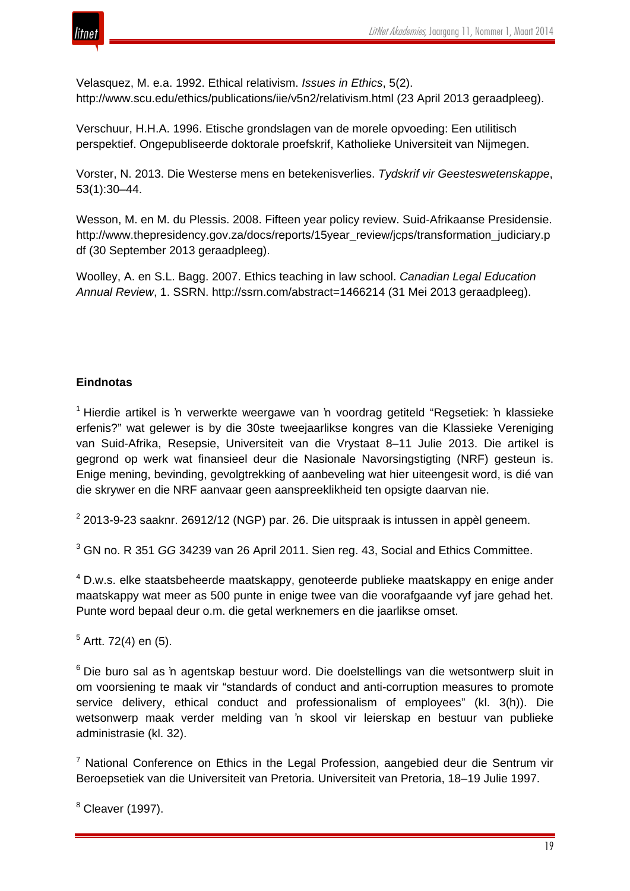

Velasquez, M. e.a. 1992. Ethical relativism. *Issues in Ethics*, 5(2). http://www.scu.edu/ethics/publications/iie/v5n2/relativism.html (23 April 2013 geraadpleeg).

Verschuur, H.H.A. 1996. Etische grondslagen van de morele opvoeding: Een utilitisch perspektief. Ongepubliseerde doktorale proefskrif, Katholieke Universiteit van Nijmegen.

Vorster, N. 2013. Die Westerse mens en betekenisverlies. *Tydskrif vir Geesteswetenskappe*, 53(1):30–44.

Wesson, M. en M. du Plessis. 2008. Fifteen year policy review. Suid-Afrikaanse Presidensie. http://www.thepresidency.gov.za/docs/reports/15year\_review/jcps/transformation\_judiciary.p df (30 September 2013 geraadpleeg).

Woolley, A. en S.L. Bagg. 2007. Ethics teaching in law school. *Canadian Legal Education Annual Review*, 1. SSRN. http://ssrn.com/abstract=1466214 (31 Mei 2013 geraadpleeg).

# **Eindnotas**

 $1$  Hierdie artikel is 'n verwerkte weergawe van 'n voordrag getiteld "Regsetiek: 'n klassieke erfenis?" wat gelewer is by die 30ste tweejaarlikse kongres van die Klassieke Vereniging van Suid-Afrika, Resepsie, Universiteit van die Vrystaat 8–11 Julie 2013. Die artikel is gegrond op werk wat finansieel deur die Nasionale Navorsingstigting (NRF) gesteun is. Enige mening, bevinding, gevolgtrekking of aanbeveling wat hier uiteengesit word, is dié van die skrywer en die NRF aanvaar geen aanspreeklikheid ten opsigte daarvan nie.

 $2$  2013-9-23 saaknr. 26912/12 (NGP) par. 26. Die uitspraak is intussen in appèl geneem.

<sup>3</sup> GN no. R 351 *GG* 34239 van 26 April 2011. Sien reg. 43, Social and Ethics Committee.

<sup>4</sup> D.w.s. elke staatsbeheerde maatskappy, genoteerde publieke maatskappy en enige ander maatskappy wat meer as 500 punte in enige twee van die voorafgaande vyf jare gehad het. Punte word bepaal deur o.m. die getal werknemers en die jaarlikse omset.

 $5$  Artt. 72(4) en (5).

<sup>6</sup> Die buro sal as 'n agentskap bestuur word. Die doelstellings van die wetsontwerp sluit in om voorsiening te maak vir "standards of conduct and anti-corruption measures to promote service delivery, ethical conduct and professionalism of employees" (kl. 3(h)). Die wetsonwerp maak verder melding van 'n skool vir leierskap en bestuur van publieke administrasie (kl. 32).

 $<sup>7</sup>$  National Conference on Ethics in the Legal Profession, aangebied deur die Sentrum vir</sup> Beroepsetiek van die Universiteit van Pretoria. Universiteit van Pretoria, 18–19 Julie 1997.

<sup>8</sup> Cleaver (1997).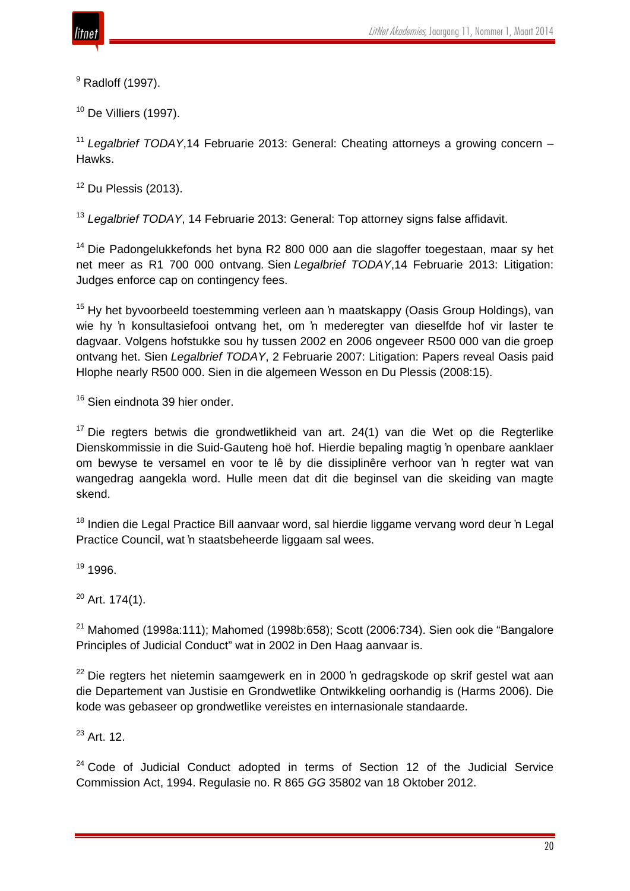$9$  Radloff (1997).

 $10$  De Villiers (1997).

<sup>11</sup> *Legalbrief TODAY*,14 Februarie 2013: General: Cheating attorneys a growing concern – Hawks.

 $12$  Du Plessis (2013).

<sup>13</sup> *Legalbrief TODAY*, 14 Februarie 2013: General: Top attorney signs false affidavit.

<sup>14</sup> Die Padongelukkefonds het byna R2 800 000 aan die slagoffer toegestaan, maar sy het net meer as R1 700 000 ontvang*.* Sien *Legalbrief TODAY*,14 Februarie 2013: Litigation: Judges enforce cap on contingency fees.

<sup>15</sup> Hy het byvoorbeeld toestemming verleen aan 'n maatskappy (Oasis Group Holdings), van wie hy 'n konsultasiefooi ontvang het, om 'n mederegter van dieselfde hof vir laster te dagvaar. Volgens hofstukke sou hy tussen 2002 en 2006 ongeveer R500 000 van die groep ontvang het. Sien *Legalbrief TODAY*, 2 Februarie 2007: Litigation: Papers reveal Oasis paid Hlophe nearly R500 000. Sien in die algemeen Wesson en Du Plessis (2008:15).

<sup>16</sup> Sien eindnota 39 hier onder.

 $17$  Die regters betwis die grondwetlikheid van art. 24(1) van die Wet op die Regterlike Dienskommissie in die Suid-Gauteng hoë hof. Hierdie bepaling magtig 'n openbare aanklaer om bewyse te versamel en voor te lê by die dissiplinêre verhoor van 'n regter wat van wangedrag aangekla word. Hulle meen dat dit die beginsel van die skeiding van magte skend.

<sup>18</sup> Indien die Legal Practice Bill aanvaar word, sal hierdie liggame vervang word deur 'n Legal Practice Council, wat 'n staatsbeheerde liggaam sal wees.

<sup>19</sup> 1996.

 $20$  Art. 174(1).

 $21$  Mahomed (1998a:111); Mahomed (1998b:658); Scott (2006:734). Sien ook die "Bangalore Principles of Judicial Conduct" wat in 2002 in Den Haag aanvaar is.

<sup>22</sup> Die regters het nietemin saamgewerk en in 2000 'n gedragskode op skrif gestel wat aan die Departement van Justisie en Grondwetlike Ontwikkeling oorhandig is (Harms 2006). Die kode was gebaseer op grondwetlike vereistes en internasionale standaarde.

 $23$  Art. 12.

 $24$  Code of Judicial Conduct adopted in terms of Section 12 of the Judicial Service Commission Act, 1994. Regulasie no. R 865 *GG* 35802 van 18 Oktober 2012.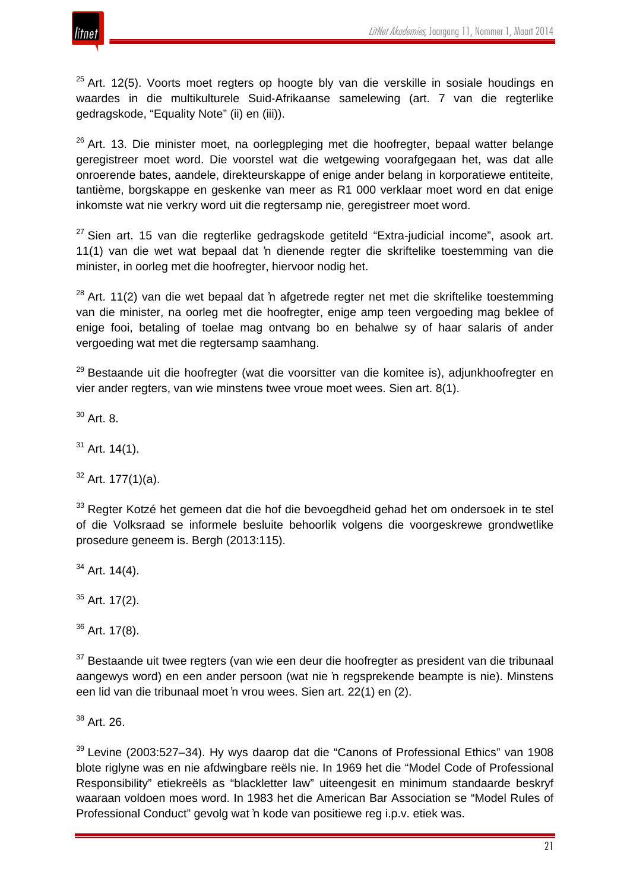

 $25$  Art. 12(5). Voorts moet regters op hoogte bly van die verskille in sosiale houdings en waardes in die multikulturele Suid-Afrikaanse samelewing (art. 7 van die regterlike gedragskode, "Equality Note" (ii) en (iii)).

<sup>26</sup> Art. 13. Die minister moet, na oorlegpleging met die hoofregter, bepaal watter belange geregistreer moet word. Die voorstel wat die wetgewing voorafgegaan het, was dat alle onroerende bates, aandele, direkteurskappe of enige ander belang in korporatiewe entiteite, tantième, borgskappe en geskenke van meer as R1 000 verklaar moet word en dat enige inkomste wat nie verkry word uit die regtersamp nie, geregistreer moet word.

 $27$  Sien art. 15 van die regterlike gedragskode getiteld "Extra-judicial income", asook art. 11(1) van die wet wat bepaal dat 'n dienende regter die skriftelike toestemming van die minister, in oorleg met die hoofregter, hiervoor nodig het.

 $28$  Art. 11(2) van die wet bepaal dat 'n afgetrede regter net met die skriftelike toestemming van die minister, na oorleg met die hoofregter, enige amp teen vergoeding mag beklee of enige fooi, betaling of toelae mag ontvang bo en behalwe sy of haar salaris of ander vergoeding wat met die regtersamp saamhang.

<sup>29</sup> Bestaande uit die hoofregter (wat die voorsitter van die komitee is), adjunkhoofregter en vier ander regters, van wie minstens twee vroue moet wees. Sien art. 8(1).

<sup>30</sup> Art. 8.

 $31$  Art. 14(1).

 $32$  Art. 177(1)(a).

<sup>33</sup> Regter Kotzé het gemeen dat die hof die bevoegdheid gehad het om ondersoek in te stel of die Volksraad se informele besluite behoorlik volgens die voorgeskrewe grondwetlike prosedure geneem is. Bergh (2013:115).

 $34$  Art. 14(4).

 $35$  Art. 17(2).

 $36$  Art. 17(8).

 $37$  Bestaande uit twee regters (van wie een deur die hoofregter as president van die tribunaal aangewys word) en een ander persoon (wat nie 'n regsprekende beampte is nie). Minstens een lid van die tribunaal moet 'n vrou wees. Sien art. 22(1) en (2).

<sup>38</sup> Art. 26.

 $39$  Levine (2003:527–34). Hy wys daarop dat die "Canons of Professional Ethics" van 1908 blote riglyne was en nie afdwingbare reëls nie. In 1969 het die "Model Code of Professional Responsibility" etiekreëls as "blackletter law" uiteengesit en minimum standaarde beskryf waaraan voldoen moes word. In 1983 het die American Bar Association se "Model Rules of Professional Conduct" gevolg wat 'n kode van positiewe reg i.p.v. etiek was.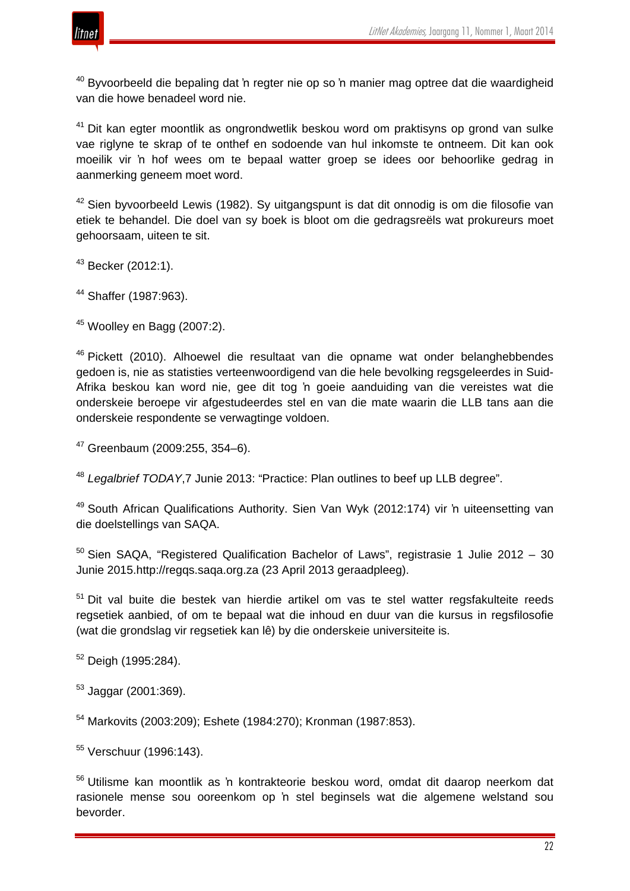

 $40$  Byvoorbeeld die bepaling dat 'n regter nie op so 'n manier mag optree dat die waardigheid van die howe benadeel word nie.

<sup>41</sup> Dit kan egter moontlik as ongrondwetlik beskou word om praktisyns op grond van sulke vae riglyne te skrap of te onthef en sodoende van hul inkomste te ontneem. Dit kan ook moeilik vir 'n hof wees om te bepaal watter groep se idees oor behoorlike gedrag in aanmerking geneem moet word.

 $42$  Sien byvoorbeeld Lewis (1982). Sy uitgangspunt is dat dit onnodig is om die filosofie van etiek te behandel. Die doel van sy boek is bloot om die gedragsreëls wat prokureurs moet gehoorsaam, uiteen te sit.

 $43$  Becker (2012:1).

<sup>44</sup> Shaffer (1987:963).

<sup>45</sup> Woolley en Bagg (2007:2).

<sup>46</sup> Pickett (2010). Alhoewel die resultaat van die opname wat onder belanghebbendes gedoen is, nie as statisties verteenwoordigend van die hele bevolking regsgeleerdes in Suid-Afrika beskou kan word nie, gee dit tog 'n goeie aanduiding van die vereistes wat die onderskeie beroepe vir afgestudeerdes stel en van die mate waarin die LLB tans aan die onderskeie respondente se verwagtinge voldoen.

<sup>47</sup> Greenbaum (2009:255, 354–6).

<sup>48</sup> *Legalbrief TODAY*,7 Junie 2013: "Practice: Plan outlines to beef up LLB degree".

<sup>49</sup> South African Qualifications Authority. Sien Van Wyk (2012:174) vir 'n uiteensetting van die doelstellings van SAQA.

 $50$  Sien SAQA, "Registered Qualification Bachelor of Laws", registrasie 1 Julie 2012 – 30 Junie 2015.http://regqs.saqa.org.za (23 April 2013 geraadpleeg).

<sup>51</sup> Dit val buite die bestek van hierdie artikel om vas te stel watter regsfakulteite reeds regsetiek aanbied, of om te bepaal wat die inhoud en duur van die kursus in regsfilosofie (wat die grondslag vir regsetiek kan lê) by die onderskeie universiteite is.

<sup>52</sup> Deigh (1995:284).

 $53$  Jaggar (2001:369).

<sup>54</sup> Markovits (2003:209); Eshete (1984:270); Kronman (1987:853).

<sup>55</sup> Verschuur (1996:143).

<sup>56</sup> Utilisme kan moontlik as 'n kontrakteorie beskou word, omdat dit daarop neerkom dat rasionele mense sou ooreenkom op 'n stel beginsels wat die algemene welstand sou bevorder.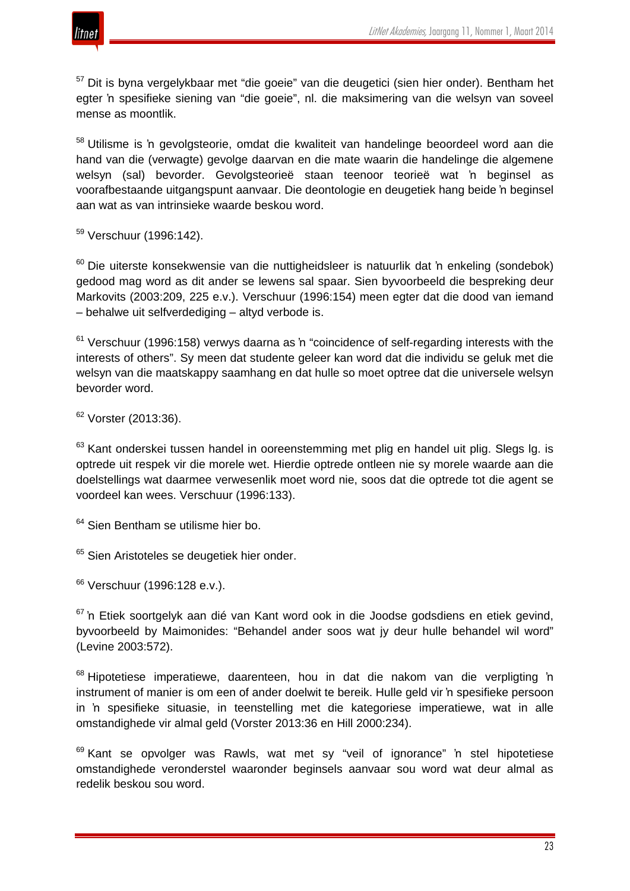

<sup>57</sup> Dit is byna vergelykbaar met "die goeie" van die deugetici (sien hier onder). Bentham het egter 'n spesifieke siening van "die goeie", nl. die maksimering van die welsyn van soveel mense as moontlik.

<sup>58</sup> Utilisme is 'n gevolgsteorie, omdat die kwaliteit van handelinge beoordeel word aan die hand van die (verwagte) gevolge daarvan en die mate waarin die handelinge die algemene welsyn (sal) bevorder. Gevolgsteorieë staan teenoor teorieë wat 'n beginsel as voorafbestaande uitgangspunt aanvaar. Die deontologie en deugetiek hang beide 'n beginsel aan wat as van intrinsieke waarde beskou word.

<sup>59</sup> Verschuur (1996:142).

 $60$  Die uiterste konsekwensie van die nuttigheidsleer is natuurlik dat 'n enkeling (sondebok) gedood mag word as dit ander se lewens sal spaar. Sien byvoorbeeld die bespreking deur Markovits (2003:209, 225 e.v.). Verschuur (1996:154) meen egter dat die dood van iemand – behalwe uit selfverdediging – altyd verbode is.

 $61$  Verschuur (1996:158) verwys daarna as 'n "coincidence of self-regarding interests with the interests of others". Sy meen dat studente geleer kan word dat die individu se geluk met die welsyn van die maatskappy saamhang en dat hulle so moet optree dat die universele welsyn bevorder word.

 $62$  Vorster (2013:36).

<sup>63</sup> Kant onderskei tussen handel in ooreenstemming met plig en handel uit plig. Slegs Ig. is optrede uit respek vir die morele wet. Hierdie optrede ontleen nie sy morele waarde aan die doelstellings wat daarmee verwesenlik moet word nie, soos dat die optrede tot die agent se voordeel kan wees. Verschuur (1996:133).

<sup>64</sup> Sien Bentham se utilisme hier bo.

<sup>65</sup> Sien Aristoteles se deugetiek hier onder.

<sup>66</sup> Verschuur (1996:128 e.v.).

<sup>67</sup> 'n Etiek soortgelyk aan dié van Kant word ook in die Joodse godsdiens en etiek gevind, byvoorbeeld by Maimonides: "Behandel ander soos wat jy deur hulle behandel wil word" (Levine 2003:572).

<sup>68</sup> Hipotetiese imperatiewe, daarenteen, hou in dat die nakom van die verpligting 'n instrument of manier is om een of ander doelwit te bereik. Hulle geld vir 'n spesifieke persoon in 'n spesifieke situasie, in teenstelling met die kategoriese imperatiewe, wat in alle omstandighede vir almal geld (Vorster 2013:36 en Hill 2000:234).

 $69$  Kant se opvolger was Rawls, wat met sy "veil of ignorance" 'n stel hipotetiese omstandighede veronderstel waaronder beginsels aanvaar sou word wat deur almal as redelik beskou sou word.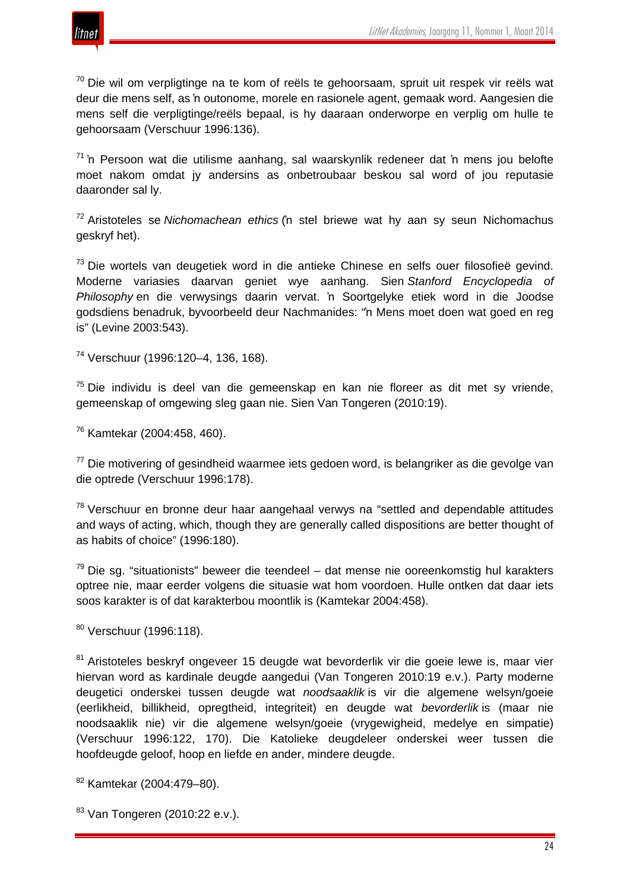

 $70$  Die wil om verpligtinge na te kom of reëls te gehoorsaam, spruit uit respek vir reëls wat deur die mens self, as 'n outonome, morele en rasionele agent, gemaak word. Aangesien die mens self die verpligtinge/reëls bepaal, is hy daaraan onderworpe en verplig om hulle te gehoorsaam (Verschuur 1996:136).

<sup>71</sup> 'n Persoon wat die utilisme aanhang, sal waarskynlik redeneer dat 'n mens jou belofte moet nakom omdat jy andersins as onbetroubaar beskou sal word of jou reputasie daaronder sal ly.

<sup>72</sup> Aristoteles se *Nichomachean ethics* ('n stel briewe wat hy aan sy seun Nichomachus geskryf het).

<sup>73</sup> Die wortels van deugetiek word in die antieke Chinese en selfs ouer filosofieë gevind. Moderne variasies daarvan geniet wye aanhang. Sien *Stanford Encyclopedia of Philosophy* en die verwysings daarin vervat. 'n Soortgelyke etiek word in die Joodse godsdiens benadruk, byvoorbeeld deur Nachmanides: "'n Mens moet doen wat goed en reg is" (Levine 2003:543).

<sup>74</sup> Verschuur (1996:120–4, 136, 168).

 $75$  Die individu is deel van die gemeenskap en kan nie floreer as dit met sy vriende, gemeenskap of omgewing sleg gaan nie. Sien Van Tongeren (2010:19).

<sup>76</sup> Kamtekar (2004:458, 460).

 $77$  Die motivering of gesindheid waarmee iets gedoen word, is belangriker as die gevolge van die optrede (Verschuur 1996:178).

<sup>78</sup> Verschuur en bronne deur haar aangehaal verwys na "settled and dependable attitudes and ways of acting, which, though they are generally called dispositions are better thought of as habits of choice" (1996:180).

 $79$  Die sg. "situationists" beweer die teendeel – dat mense nie ooreenkomstig hul karakters optree nie, maar eerder volgens die situasie wat hom voordoen. Hulle ontken dat daar iets soos karakter is of dat karakterbou moontlik is (Kamtekar 2004:458).

<sup>80</sup> Verschuur (1996:118).

<sup>81</sup> Aristoteles beskryf ongeveer 15 deugde wat bevorderlik vir die goeie lewe is, maar vier hiervan word as kardinale deugde aangedui (Van Tongeren 2010:19 e.v.). Party moderne deugetici onderskei tussen deugde wat *noodsaaklik* is vir die algemene welsyn/goeie (eerlikheid, billikheid, opregtheid, integriteit) en deugde wat *bevorderlik* is (maar nie noodsaaklik nie) vir die algemene welsyn/goeie (vrygewigheid, medelye en simpatie) (Verschuur 1996:122, 170). Die Katolieke deugdeleer onderskei weer tussen die hoofdeugde geloof, hoop en liefde en ander, mindere deugde.

<sup>82</sup> Kamtekar (2004:479–80).

83 Van Tongeren (2010:22 e.v.).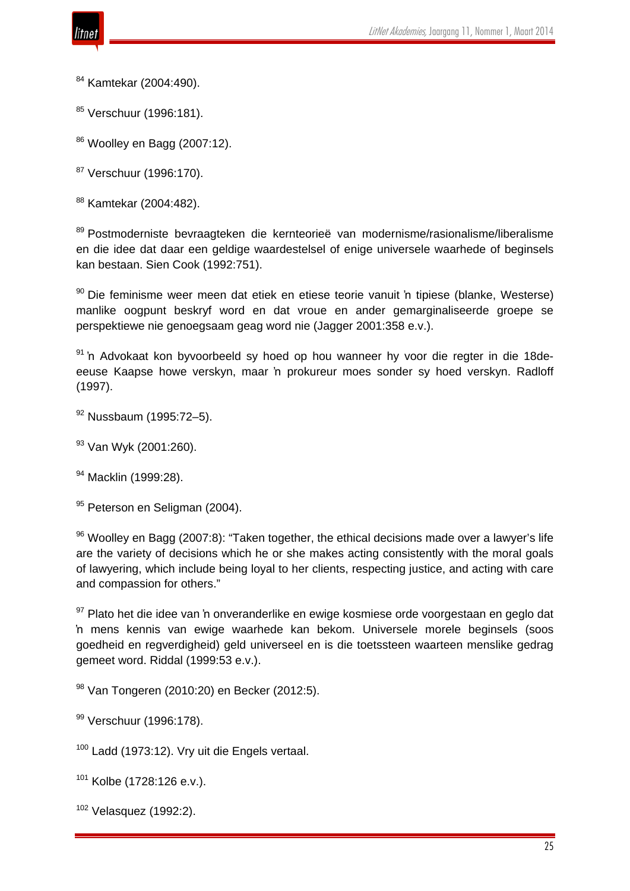

<sup>84</sup> Kamtekar (2004:490).

85 Verschuur (1996:181).

 $86$  Woolley en Bagg (2007:12).

<sup>87</sup> Verschuur (1996:170).

<sup>88</sup> Kamtekar (2004:482).

<sup>89</sup> Postmoderniste bevraagteken die kernteorieë van modernisme/rasionalisme/liberalisme en die idee dat daar een geldige waardestelsel of enige universele waarhede of beginsels kan bestaan. Sien Cook (1992:751).

<sup>90</sup> Die feminisme weer meen dat etiek en etiese teorie vanuit 'n tipiese (blanke, Westerse) manlike oogpunt beskryf word en dat vroue en ander gemarginaliseerde groepe se perspektiewe nie genoegsaam geag word nie (Jagger 2001:358 e.v.).

<sup>91</sup> 'n Advokaat kon byvoorbeeld sy hoed op hou wanneer hy voor die regter in die 18deeeuse Kaapse howe verskyn, maar 'n prokureur moes sonder sy hoed verskyn. Radloff (1997).

<sup>92</sup> Nussbaum (1995:72–5).

<sup>93</sup> Van Wyk (2001:260).

<sup>94</sup> Macklin (1999:28).

95 Peterson en Seligman (2004).

 $96$  Woolley en Bagg (2007:8): "Taken together, the ethical decisions made over a lawyer's life are the variety of decisions which he or she makes acting consistently with the moral goals of lawyering, which include being loyal to her clients, respecting justice, and acting with care and compassion for others."

 $97$  Plato het die idee van 'n onveranderlike en ewige kosmiese orde voorgestaan en geglo dat 'n mens kennis van ewige waarhede kan bekom. Universele morele beginsels (soos goedheid en regverdigheid) geld universeel en is die toetssteen waarteen menslike gedrag gemeet word. Riddal (1999:53 e.v.).

<sup>98</sup> Van Tongeren (2010:20) en Becker (2012:5).

99 Verschuur (1996:178).

 $100$  Ladd (1973:12). Vry uit die Engels vertaal.

 $101$  Kolbe (1728:126 e.v.).

 $102$  Velasquez (1992:2).